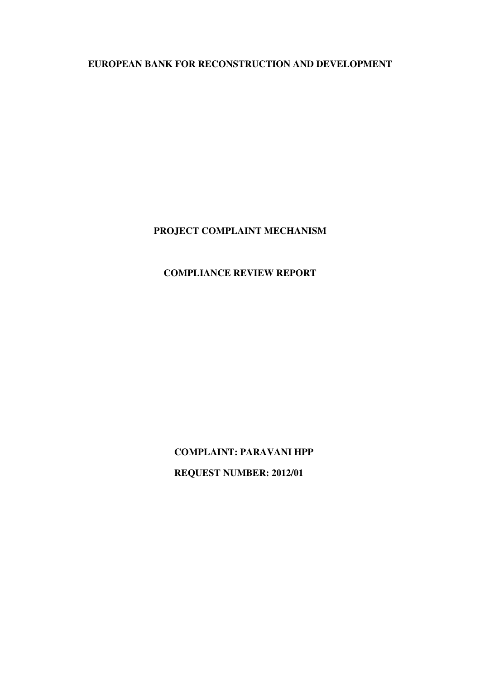**EUROPEAN BANK FOR RECONSTRUCTION AND DEVELOPMENT** 

# **PROJECT COMPLAINT MECHANISM**

# **COMPLIANCE REVIEW REPORT**

 **COMPLAINT: PARAVANI HPP REQUEST NUMBER: 2012/01**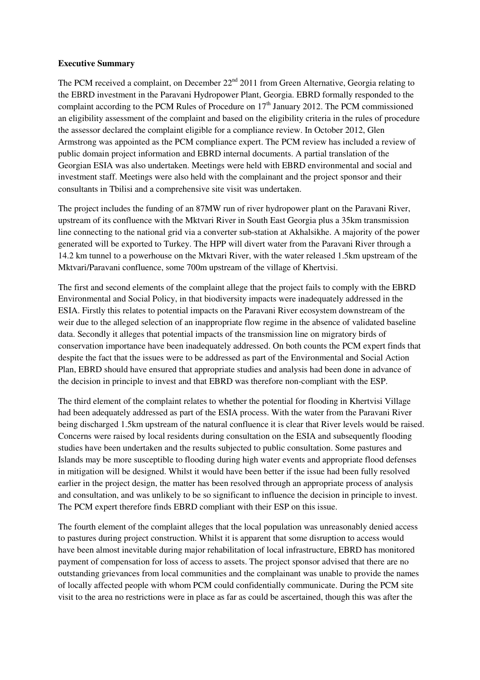#### **Executive Summary**

The PCM received a complaint, on December 22<sup>nd</sup> 2011 from Green Alternative, Georgia relating to the EBRD investment in the Paravani Hydropower Plant, Georgia. EBRD formally responded to the complaint according to the PCM Rules of Procedure on  $17<sup>th</sup>$  January 2012. The PCM commissioned an eligibility assessment of the complaint and based on the eligibility criteria in the rules of procedure the assessor declared the complaint eligible for a compliance review. In October 2012, Glen Armstrong was appointed as the PCM compliance expert. The PCM review has included a review of public domain project information and EBRD internal documents. A partial translation of the Georgian ESIA was also undertaken. Meetings were held with EBRD environmental and social and investment staff. Meetings were also held with the complainant and the project sponsor and their consultants in Tbilisi and a comprehensive site visit was undertaken.

The project includes the funding of an 87MW run of river hydropower plant on the Paravani River, upstream of its confluence with the Mktvari River in South East Georgia plus a 35km transmission line connecting to the national grid via a converter sub-station at Akhalsikhe. A majority of the power generated will be exported to Turkey. The HPP will divert water from the Paravani River through a 14.2 km tunnel to a powerhouse on the Mktvari River, with the water released 1.5km upstream of the Mktvari/Paravani confluence, some 700m upstream of the village of Khertvisi.

The first and second elements of the complaint allege that the project fails to comply with the EBRD Environmental and Social Policy, in that biodiversity impacts were inadequately addressed in the ESIA. Firstly this relates to potential impacts on the Paravani River ecosystem downstream of the weir due to the alleged selection of an inappropriate flow regime in the absence of validated baseline data. Secondly it alleges that potential impacts of the transmission line on migratory birds of conservation importance have been inadequately addressed. On both counts the PCM expert finds that despite the fact that the issues were to be addressed as part of the Environmental and Social Action Plan, EBRD should have ensured that appropriate studies and analysis had been done in advance of the decision in principle to invest and that EBRD was therefore non-compliant with the ESP.

The third element of the complaint relates to whether the potential for flooding in Khertvisi Village had been adequately addressed as part of the ESIA process. With the water from the Paravani River being discharged 1.5km upstream of the natural confluence it is clear that River levels would be raised. Concerns were raised by local residents during consultation on the ESIA and subsequently flooding studies have been undertaken and the results subjected to public consultation. Some pastures and Islands may be more susceptible to flooding during high water events and appropriate flood defenses in mitigation will be designed. Whilst it would have been better if the issue had been fully resolved earlier in the project design, the matter has been resolved through an appropriate process of analysis and consultation, and was unlikely to be so significant to influence the decision in principle to invest. The PCM expert therefore finds EBRD compliant with their ESP on this issue.

The fourth element of the complaint alleges that the local population was unreasonably denied access to pastures during project construction. Whilst it is apparent that some disruption to access would have been almost inevitable during major rehabilitation of local infrastructure, EBRD has monitored payment of compensation for loss of access to assets. The project sponsor advised that there are no outstanding grievances from local communities and the complainant was unable to provide the names of locally affected people with whom PCM could confidentially communicate. During the PCM site visit to the area no restrictions were in place as far as could be ascertained, though this was after the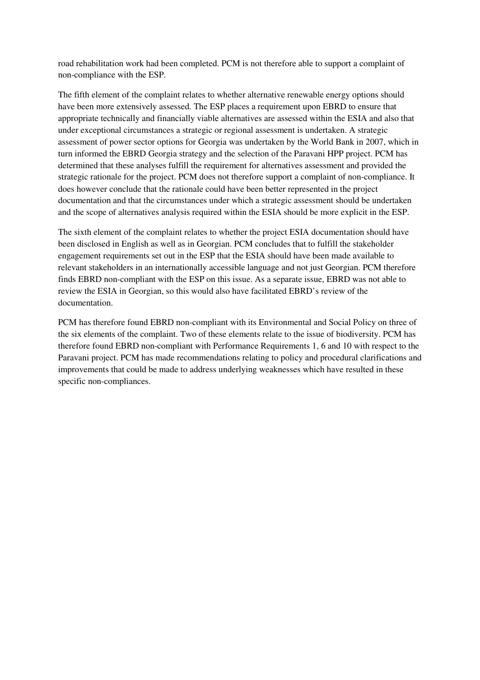road rehabilitation work had been completed. PCM is not therefore able to support a complaint of non-compliance with the ESP.

The fifth element of the complaint relates to whether alternative renewable energy options should have been more extensively assessed. The ESP places a requirement upon EBRD to ensure that appropriate technically and financially viable alternatives are assessed within the ESIA and also that under exceptional circumstances a strategic or regional assessment is undertaken. A strategic assessment of power sector options for Georgia was undertaken by the World Bank in 2007, which in turn informed the EBRD Georgia strategy and the selection of the Paravani HPP project. PCM has determined that these analyses fulfill the requirement for alternatives assessment and provided the strategic rationale for the project. PCM does not therefore support a complaint of non-compliance. It does however conclude that the rationale could have been better represented in the project documentation and that the circumstances under which a strategic assessment should be undertaken and the scope of alternatives analysis required within the ESIA should be more explicit in the ESP.

The sixth element of the complaint relates to whether the project ESIA documentation should have been disclosed in English as well as in Georgian. PCM concludes that to fulfill the stakeholder engagement requirements set out in the ESP that the ESIA should have been made available to relevant stakeholders in an internationally accessible language and not just Georgian. PCM therefore finds EBRD non-compliant with the ESP on this issue. As a separate issue, EBRD was not able to review the ESIA in Georgian, so this would also have facilitated EBRD's review of the documentation.

PCM has therefore found EBRD non-compliant with its Environmental and Social Policy on three of the six elements of the complaint. Two of these elements relate to the issue of biodiversity. PCM has therefore found EBRD non-compliant with Performance Requirements 1, 6 and 10 with respect to the Paravani project. PCM has made recommendations relating to policy and procedural clarifications and improvements that could be made to address underlying weaknesses which have resulted in these specific non-compliances.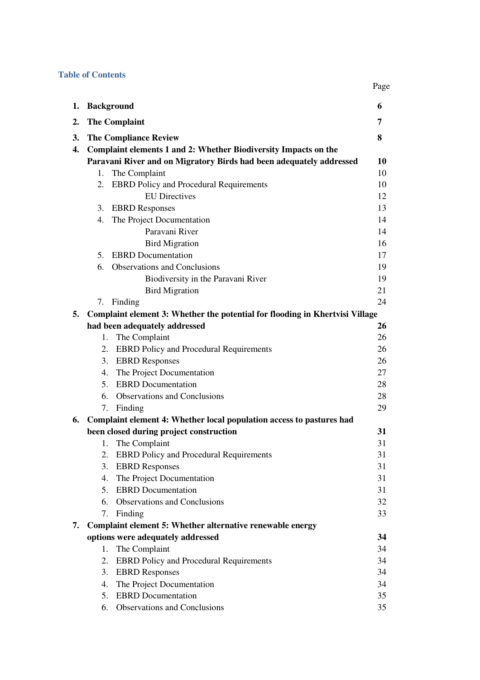#### **Table of Contents**

|                |                                                                              | Page |  |  |
|----------------|------------------------------------------------------------------------------|------|--|--|
| 1.             | <b>Background</b>                                                            | 6    |  |  |
| $\mathbf{2}$ . | <b>The Complaint</b>                                                         | 7    |  |  |
| 3.             | <b>The Compliance Review</b>                                                 | 8    |  |  |
| 4.             | Complaint elements 1 and 2: Whether Biodiversity Impacts on the              |      |  |  |
|                | Paravani River and on Migratory Birds had been adequately addressed          | 10   |  |  |
|                | The Complaint<br>1.                                                          | 10   |  |  |
|                | 2. EBRD Policy and Procedural Requirements                                   | 10   |  |  |
|                | <b>EU</b> Directives                                                         | 12   |  |  |
|                | 3.<br><b>EBRD</b> Responses                                                  | 13   |  |  |
|                | The Project Documentation<br>4.                                              | 14   |  |  |
|                | Paravani River                                                               | 14   |  |  |
|                | <b>Bird Migration</b>                                                        | 16   |  |  |
|                | <b>EBRD</b> Documentation<br>5.                                              | 17   |  |  |
|                | <b>Observations and Conclusions</b><br>6.                                    | 19   |  |  |
|                | Biodiversity in the Paravani River                                           | 19   |  |  |
|                | <b>Bird Migration</b>                                                        | 21   |  |  |
|                | Finding<br>7.                                                                | 24   |  |  |
| 5.             | Complaint element 3: Whether the potential for flooding in Khertvisi Village |      |  |  |
|                | had been adequately addressed                                                | 26   |  |  |
|                | The Complaint<br>1.                                                          | 26   |  |  |
|                | 2. EBRD Policy and Procedural Requirements                                   | 26   |  |  |
|                | <b>EBRD</b> Responses<br>3.                                                  | 26   |  |  |
|                | The Project Documentation<br>4.                                              | 27   |  |  |
|                | <b>EBRD</b> Documentation<br>5.                                              | 28   |  |  |
|                | <b>Observations and Conclusions</b><br>6.                                    | 28   |  |  |
|                | Finding<br>7.                                                                | 29   |  |  |
| 6.             | Complaint element 4: Whether local population access to pastures had         |      |  |  |
|                | been closed during project construction                                      | 31   |  |  |
|                | 1. The Complaint                                                             | 31   |  |  |
|                | <b>EBRD Policy and Procedural Requirements</b><br>2.                         | 31   |  |  |
|                | <b>EBRD</b> Responses<br>3.                                                  | 31   |  |  |
|                | The Project Documentation<br>4.                                              | 31   |  |  |
|                | <b>EBRD</b> Documentation<br>5.                                              | 31   |  |  |
|                | 6.<br><b>Observations and Conclusions</b>                                    | 32   |  |  |
|                | 7. Finding                                                                   | 33   |  |  |
| 7.             | Complaint element 5: Whether alternative renewable energy                    |      |  |  |
|                | options were adequately addressed                                            | 34   |  |  |
|                | The Complaint<br>1.                                                          | 34   |  |  |
|                | 2.<br><b>EBRD</b> Policy and Procedural Requirements                         | 34   |  |  |
|                | 3.<br><b>EBRD</b> Responses                                                  | 34   |  |  |
|                | The Project Documentation<br>4.                                              | 34   |  |  |
|                | <b>EBRD</b> Documentation<br>5.                                              | 35   |  |  |
|                | Observations and Conclusions<br>6.                                           | 35   |  |  |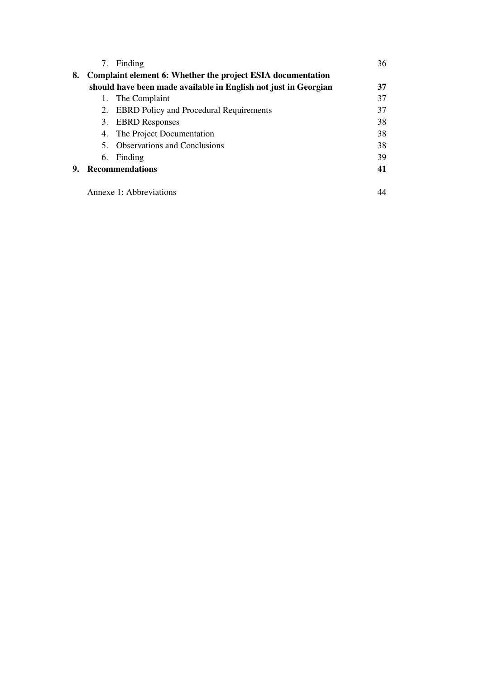|                                                                   |                                                                 | 7. Finding                                 | 36 |  |
|-------------------------------------------------------------------|-----------------------------------------------------------------|--------------------------------------------|----|--|
| 8.<br>Complaint element 6: Whether the project ESIA documentation |                                                                 |                                            |    |  |
|                                                                   | should have been made available in English not just in Georgian |                                            |    |  |
|                                                                   |                                                                 | 1. The Complaint                           | 37 |  |
|                                                                   |                                                                 | 2. EBRD Policy and Procedural Requirements | 37 |  |
|                                                                   | 3.                                                              | <b>EBRD</b> Responses                      | 38 |  |
|                                                                   |                                                                 | 4. The Project Documentation               | 38 |  |
|                                                                   |                                                                 | 5. Observations and Conclusions            | 38 |  |
|                                                                   |                                                                 | 6. Finding                                 | 39 |  |
| 9.                                                                | <b>Recommendations</b>                                          |                                            |    |  |
|                                                                   |                                                                 |                                            |    |  |

Annexe 1: Abbreviations 44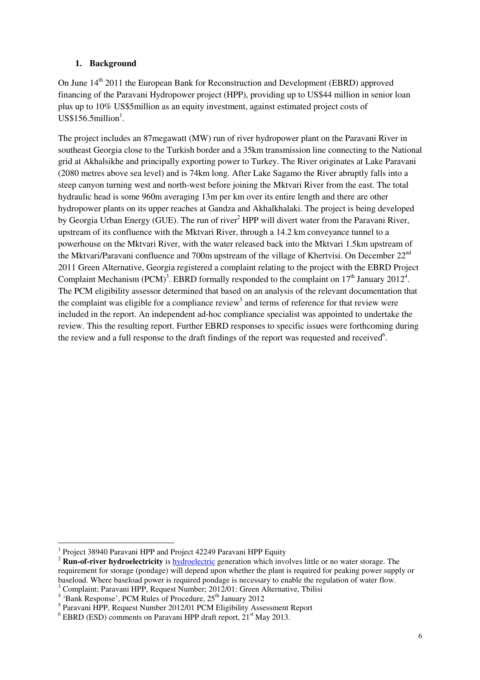### **1. Background**

On June 14<sup>th</sup> 2011 the European Bank for Reconstruction and Development (EBRD) approved financing of the Paravani Hydropower project (HPP), providing up to US\$44 million in senior loan plus up to 10% US\$5million as an equity investment, against estimated project costs of  $US$156.5$ million<sup>1</sup>.

The project includes an 87megawatt (MW) run of river hydropower plant on the Paravani River in southeast Georgia close to the Turkish border and a 35km transmission line connecting to the National grid at Akhalsikhe and principally exporting power to Turkey. The River originates at Lake Paravani (2080 metres above sea level) and is 74km long. After Lake Sagamo the River abruptly falls into a steep canyon turning west and north-west before joining the Mktvari River from the east. The total hydraulic head is some 960m averaging 13m per km over its entire length and there are other hydropower plants on its upper reaches at Gandza and Akhalkhalaki. The project is being developed by Georgia Urban Energy (GUE). The run of river<sup>2</sup> HPP will divert water from the Paravani River, upstream of its confluence with the Mktvari River, through a 14.2 km conveyance tunnel to a powerhouse on the Mktvari River, with the water released back into the Mktvari 1.5km upstream of the Mktvari/Paravani confluence and 700m upstream of the village of Khertvisi. On December 22<sup>nd</sup> 2011 Green Alternative, Georgia registered a complaint relating to the project with the EBRD Project Complaint Mechanism (PCM)<sup>3</sup>. EBRD formally responded to the complaint on  $17<sup>th</sup>$  January 2012<sup>4</sup>. The PCM eligibility assessor determined that based on an analysis of the relevant documentation that the complaint was eligible for a compliance review<sup>5</sup> and terms of reference for that review were included in the report. An independent ad-hoc compliance specialist was appointed to undertake the review. This the resulting report. Further EBRD responses to specific issues were forthcoming during the review and a full response to the draft findings of the report was requested and received $6$ .

l

<sup>1</sup> Project 38940 Paravani HPP and Project 42249 Paravani HPP Equity

<sup>&</sup>lt;sup>2</sup> **Run-of-river hydroelectricity** is hydroelectric generation which involves little or no water storage. The requirement for storage (pondage) will depend upon whether the plant is required for peaking power supply or baseload. Where baseload power is required pondage is necessary to enable the regulation of water flow.

<sup>&</sup>lt;sup>3</sup> Complaint; Paravani HPP, Request Number; 2012/01: Green Alternative, Tbilisi

<sup>&</sup>lt;sup>4</sup> 'Bank Response', PCM Rules of Procedure, 25<sup>th</sup> January 2012

<sup>&</sup>lt;sup>5</sup> Paravani HPP, Request Number 2012/01 PCM Eligibility Assessment Report

 $6$  EBRD (ESD) comments on Paravani HPP draft report,  $21<sup>st</sup>$  May 2013.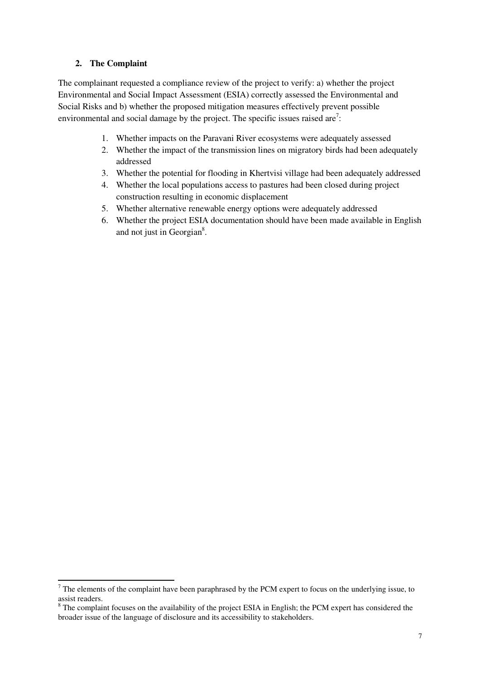### **2. The Complaint**

l

The complainant requested a compliance review of the project to verify: a) whether the project Environmental and Social Impact Assessment (ESIA) correctly assessed the Environmental and Social Risks and b) whether the proposed mitigation measures effectively prevent possible environmental and social damage by the project. The specific issues raised are<sup>7</sup>:

- 1. Whether impacts on the Paravani River ecosystems were adequately assessed
- 2. Whether the impact of the transmission lines on migratory birds had been adequately addressed
- 3. Whether the potential for flooding in Khertvisi village had been adequately addressed
- 4. Whether the local populations access to pastures had been closed during project construction resulting in economic displacement
- 5. Whether alternative renewable energy options were adequately addressed
- 6. Whether the project ESIA documentation should have been made available in English and not just in Georgian $8$ .

 $<sup>7</sup>$  The elements of the complaint have been paraphrased by the PCM expert to focus on the underlying issue, to</sup> assist readers.

<sup>&</sup>lt;sup>8</sup> The complaint focuses on the availability of the project ESIA in English; the PCM expert has considered the broader issue of the language of disclosure and its accessibility to stakeholders.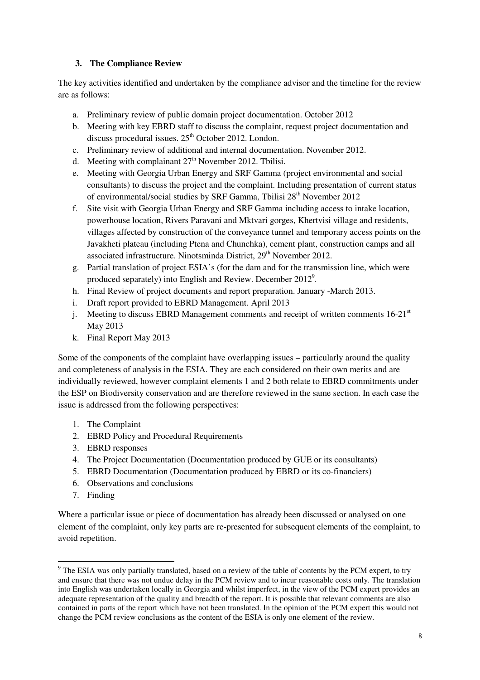## **3. The Compliance Review**

The key activities identified and undertaken by the compliance advisor and the timeline for the review are as follows:

- a. Preliminary review of public domain project documentation. October 2012
- b. Meeting with key EBRD staff to discuss the complaint, request project documentation and discuss procedural issues.  $25<sup>th</sup>$  October 2012. London.
- c. Preliminary review of additional and internal documentation. November 2012.
- d. Meeting with complainant  $27<sup>th</sup>$  November 2012. Tbilisi.
- e. Meeting with Georgia Urban Energy and SRF Gamma (project environmental and social consultants) to discuss the project and the complaint. Including presentation of current status of environmental/social studies by SRF Gamma, Tbilisi 28<sup>th</sup> November 2012
- f. Site visit with Georgia Urban Energy and SRF Gamma including access to intake location, powerhouse location, Rivers Paravani and Mktvari gorges, Khertvisi village and residents, villages affected by construction of the conveyance tunnel and temporary access points on the Javakheti plateau (including Ptena and Chunchka), cement plant, construction camps and all associated infrastructure. Ninotsminda District, 29<sup>th</sup> November 2012.
- g. Partial translation of project ESIA's (for the dam and for the transmission line, which were produced separately) into English and Review. December  $2012^9$ .
- h. Final Review of project documents and report preparation. January -March 2013.
- i. Draft report provided to EBRD Management. April 2013
- j. Meeting to discuss EBRD Management comments and receipt of written comments  $16{\text -}21^{\text{st}}$ May 2013
- k. Final Report May 2013

Some of the components of the complaint have overlapping issues – particularly around the quality and completeness of analysis in the ESIA. They are each considered on their own merits and are individually reviewed, however complaint elements 1 and 2 both relate to EBRD commitments under the ESP on Biodiversity conservation and are therefore reviewed in the same section. In each case the issue is addressed from the following perspectives:

- 1. The Complaint
- 2. EBRD Policy and Procedural Requirements
- 3. EBRD responses
- 4. The Project Documentation (Documentation produced by GUE or its consultants)
- 5. EBRD Documentation (Documentation produced by EBRD or its co-financiers)
- 6. Observations and conclusions
- 7. Finding

 $\overline{a}$ 

Where a particular issue or piece of documentation has already been discussed or analysed on one element of the complaint, only key parts are re-presented for subsequent elements of the complaint, to avoid repetition.

 $9^9$  The ESIA was only partially translated, based on a review of the table of contents by the PCM expert, to try and ensure that there was not undue delay in the PCM review and to incur reasonable costs only. The translation into English was undertaken locally in Georgia and whilst imperfect, in the view of the PCM expert provides an adequate representation of the quality and breadth of the report. It is possible that relevant comments are also contained in parts of the report which have not been translated. In the opinion of the PCM expert this would not change the PCM review conclusions as the content of the ESIA is only one element of the review.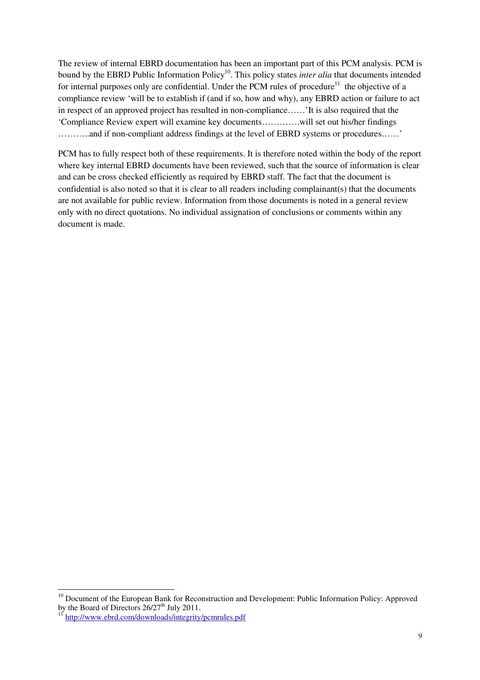The review of internal EBRD documentation has been an important part of this PCM analysis. PCM is bound by the EBRD Public Information Policy<sup>10</sup>. This policy states *inter alia* that documents intended for internal purposes only are confidential. Under the PCM rules of procedure<sup>11</sup> the objective of a compliance review 'will be to establish if (and if so, how and why), any EBRD action or failure to act in respect of an approved project has resulted in non-compliance……'It is also required that the 'Compliance Review expert will examine key documents………….will set out his/her findings ………..and if non-compliant address findings at the level of EBRD systems or procedures……'

PCM has to fully respect both of these requirements. It is therefore noted within the body of the report where key internal EBRD documents have been reviewed, such that the source of information is clear and can be cross checked efficiently as required by EBRD staff. The fact that the document is confidential is also noted so that it is clear to all readers including complainant(s) that the documents are not available for public review. Information from those documents is noted in a general review only with no direct quotations. No individual assignation of conclusions or comments within any document is made.

 $\overline{a}$ 

<sup>&</sup>lt;sup>10</sup> Document of the European Bank for Reconstruction and Development: Public Information Policy: Approved by the Board of Directors 26/27<sup>th</sup> July 2011.

<sup>&</sup>lt;sup>11</sup> http://www.ebrd.com/downloads/integrity/pcmrules.pdf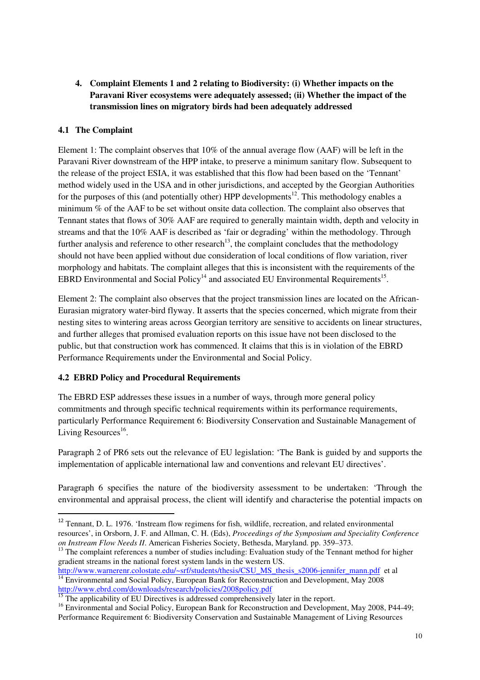**4. Complaint Elements 1 and 2 relating to Biodiversity: (i) Whether impacts on the Paravani River ecosystems were adequately assessed; (ii) Whether the impact of the transmission lines on migratory birds had been adequately addressed** 

## **4.1 The Complaint**

l

Element 1: The complaint observes that 10% of the annual average flow (AAF) will be left in the Paravani River downstream of the HPP intake, to preserve a minimum sanitary flow. Subsequent to the release of the project ESIA, it was established that this flow had been based on the 'Tennant' method widely used in the USA and in other jurisdictions, and accepted by the Georgian Authorities for the purposes of this (and potentially other) HPP developments<sup>12</sup>. This methodology enables a minimum % of the AAF to be set without onsite data collection. The complaint also observes that Tennant states that flows of 30% AAF are required to generally maintain width, depth and velocity in streams and that the 10% AAF is described as 'fair or degrading' within the methodology. Through further analysis and reference to other research<sup>13</sup>, the complaint concludes that the methodology should not have been applied without due consideration of local conditions of flow variation, river morphology and habitats. The complaint alleges that this is inconsistent with the requirements of the EBRD Environmental and Social Policy<sup>14</sup> and associated EU Environmental Requirements<sup>15</sup>.

Element 2: The complaint also observes that the project transmission lines are located on the African-Eurasian migratory water-bird flyway. It asserts that the species concerned, which migrate from their nesting sites to wintering areas across Georgian territory are sensitive to accidents on linear structures, and further alleges that promised evaluation reports on this issue have not been disclosed to the public, but that construction work has commenced. It claims that this is in violation of the EBRD Performance Requirements under the Environmental and Social Policy.

### **4.2 EBRD Policy and Procedural Requirements**

The EBRD ESP addresses these issues in a number of ways, through more general policy commitments and through specific technical requirements within its performance requirements, particularly Performance Requirement 6: Biodiversity Conservation and Sustainable Management of Living Resources<sup>16</sup>.

Paragraph 2 of PR6 sets out the relevance of EU legislation: 'The Bank is guided by and supports the implementation of applicable international law and conventions and relevant EU directives'.

Paragraph 6 specifies the nature of the biodiversity assessment to be undertaken: 'Through the environmental and appraisal process, the client will identify and characterise the potential impacts on

http://www.warnerenr.colostate.edu/~srf/students/thesis/CSU\_MS\_thesis\_s2006-jennifer\_mann.pdf et al  $\frac{14}{14}$  Environmental and Social Policy, European Bank for Reconstruction and Development, May 2008 http://www.ebrd.com/downloads/research/policies/2008policy.pdf<br>
<sup>15</sup> The search in the contract of the contract of the contract of the contract of the contract of the contract of

<sup>&</sup>lt;sup>12</sup> Tennant, D. L. 1976. 'Instream flow regimens for fish, wildlife, recreation, and related environmental resources', in Orsborn, J. F. and Allman, C. H. (Eds), *Proceedings of the Symposium and Speciality Conference on Instream Flow Needs II*. American Fisheries Society, Bethesda, Maryland. pp. 359–373.

<sup>&</sup>lt;sup>13</sup> The complaint references a number of studies including: Evaluation study of the Tennant method for higher gradient streams in the national forest system lands in the western US.

The applicability of EU Directives is addressed comprehensively later in the report.

<sup>&</sup>lt;sup>16</sup> Environmental and Social Policy, European Bank for Reconstruction and Development, May 2008, P44-49; Performance Requirement 6: Biodiversity Conservation and Sustainable Management of Living Resources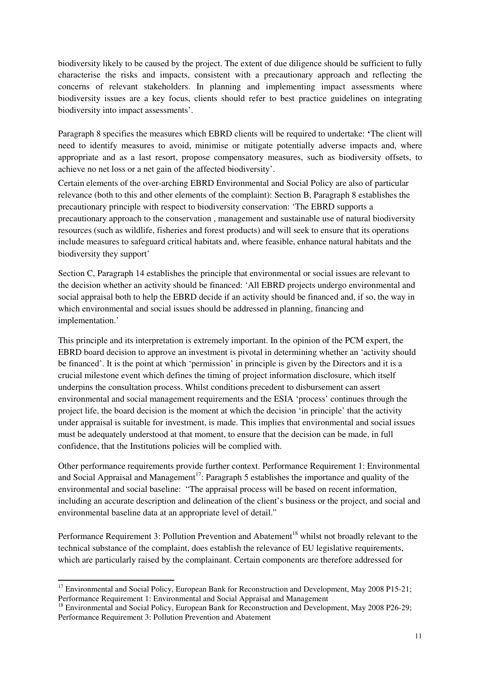biodiversity likely to be caused by the project. The extent of due diligence should be sufficient to fully characterise the risks and impacts, consistent with a precautionary approach and reflecting the concerns of relevant stakeholders. In planning and implementing impact assessments where biodiversity issues are a key focus, clients should refer to best practice guidelines on integrating biodiversity into impact assessments'.

Paragraph 8 specifies the measures which EBRD clients will be required to undertake: **'**The client will need to identify measures to avoid, minimise or mitigate potentially adverse impacts and, where appropriate and as a last resort, propose compensatory measures, such as biodiversity offsets, to achieve no net loss or a net gain of the affected biodiversity'.

Certain elements of the over-arching EBRD Environmental and Social Policy are also of particular relevance (both to this and other elements of the complaint): Section B, Paragraph 8 establishes the precautionary principle with respect to biodiversity conservation: 'The EBRD supports a precautionary approach to the conservation , management and sustainable use of natural biodiversity resources (such as wildlife, fisheries and forest products) and will seek to ensure that its operations include measures to safeguard critical habitats and, where feasible, enhance natural habitats and the biodiversity they support'

Section C, Paragraph 14 establishes the principle that environmental or social issues are relevant to the decision whether an activity should be financed: 'All EBRD projects undergo environmental and social appraisal both to help the EBRD decide if an activity should be financed and, if so, the way in which environmental and social issues should be addressed in planning, financing and implementation.'

This principle and its interpretation is extremely important. In the opinion of the PCM expert, the EBRD board decision to approve an investment is pivotal in determining whether an 'activity should be financed'. It is the point at which 'permission' in principle is given by the Directors and it is a crucial milestone event which defines the timing of project information disclosure, which itself underpins the consultation process. Whilst conditions precedent to disbursement can assert environmental and social management requirements and the ESIA 'process' continues through the project life, the board decision is the moment at which the decision 'in principle' that the activity under appraisal is suitable for investment, is made. This implies that environmental and social issues must be adequately understood at that moment, to ensure that the decision can be made, in full confidence, that the Institutions policies will be complied with.

Other performance requirements provide further context. Performance Requirement 1: Environmental and Social Appraisal and Management<sup>17</sup>: Paragraph 5 establishes the importance and quality of the environmental and social baseline: "The appraisal process will be based on recent information, including an accurate description and delineation of the client's business or the project, and social and environmental baseline data at an appropriate level of detail."

Performance Requirement 3: Pollution Prevention and Abatement<sup>18</sup> whilst not broadly relevant to the technical substance of the complaint, does establish the relevance of EU legislative requirements, which are particularly raised by the complainant. Certain components are therefore addressed for

l

<sup>&</sup>lt;sup>17</sup> Environmental and Social Policy, European Bank for Reconstruction and Development, May 2008 P15-21; Performance Requirement 1: Environmental and Social Appraisal and Management

<sup>&</sup>lt;sup>18</sup> Environmental and Social Policy, European Bank for Reconstruction and Development, May 2008 P26-29; Performance Requirement 3: Pollution Prevention and Abatement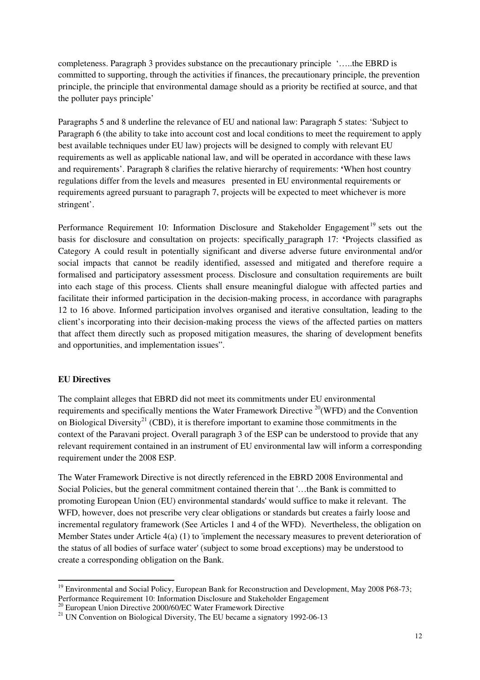completeness. Paragraph 3 provides substance on the precautionary principle '…..the EBRD is committed to supporting, through the activities if finances, the precautionary principle, the prevention principle, the principle that environmental damage should as a priority be rectified at source, and that the polluter pays principle'

Paragraphs 5 and 8 underline the relevance of EU and national law: Paragraph 5 states: 'Subject to Paragraph 6 (the ability to take into account cost and local conditions to meet the requirement to apply best available techniques under EU law) projects will be designed to comply with relevant EU requirements as well as applicable national law, and will be operated in accordance with these laws and requirements'. Paragraph 8 clarifies the relative hierarchy of requirements: **'**When host country regulations differ from the levels and measures presented in EU environmental requirements or requirements agreed pursuant to paragraph 7, projects will be expected to meet whichever is more stringent'.

Performance Requirement 10: Information Disclosure and Stakeholder Engagement<sup>19</sup> sets out the basis for disclosure and consultation on projects: specifically paragraph 17: **'**Projects classified as Category A could result in potentially significant and diverse adverse future environmental and/or social impacts that cannot be readily identified, assessed and mitigated and therefore require a formalised and participatory assessment process. Disclosure and consultation requirements are built into each stage of this process. Clients shall ensure meaningful dialogue with affected parties and facilitate their informed participation in the decision-making process, in accordance with paragraphs 12 to 16 above. Informed participation involves organised and iterative consultation, leading to the client's incorporating into their decision-making process the views of the affected parties on matters that affect them directly such as proposed mitigation measures, the sharing of development benefits and opportunities, and implementation issues".

#### **EU Directives**

l

The complaint alleges that EBRD did not meet its commitments under EU environmental requirements and specifically mentions the Water Framework Directive <sup>20</sup>(WFD) and the Convention on Biological Diversity<sup>21</sup> (CBD), it is therefore important to examine those commitments in the context of the Paravani project. Overall paragraph 3 of the ESP can be understood to provide that any relevant requirement contained in an instrument of EU environmental law will inform a corresponding requirement under the 2008 ESP.

The Water Framework Directive is not directly referenced in the EBRD 2008 Environmental and Social Policies, but the general commitment contained therein that '…the Bank is committed to promoting European Union (EU) environmental standards' would suffice to make it relevant. The WFD, however, does not prescribe very clear obligations or standards but creates a fairly loose and incremental regulatory framework (See Articles 1 and 4 of the WFD). Nevertheless, the obligation on Member States under Article 4(a) (1) to 'implement the necessary measures to prevent deterioration of the status of all bodies of surface water' (subject to some broad exceptions) may be understood to create a corresponding obligation on the Bank.

<sup>&</sup>lt;sup>19</sup> Environmental and Social Policy, European Bank for Reconstruction and Development, May 2008 P68-73; Performance Requirement 10: Information Disclosure and Stakeholder Engagement

<sup>&</sup>lt;sup>20</sup> European Union Directive 2000/60/EC Water Framework Directive

<sup>&</sup>lt;sup>21</sup> UN Convention on Biological Diversity, The EU became a signatory 1992-06-13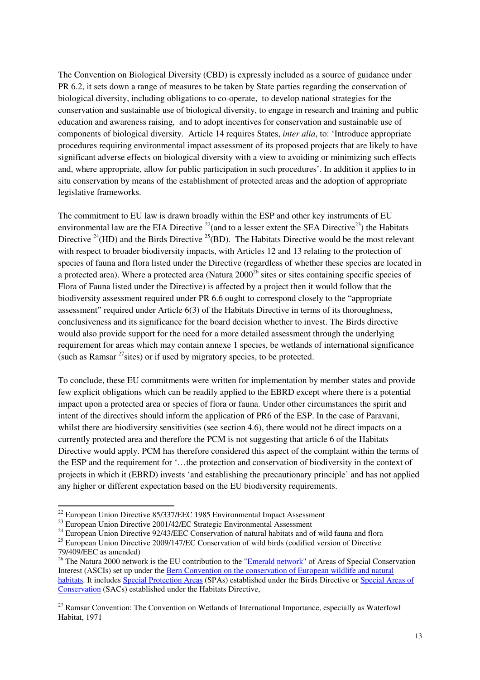The Convention on Biological Diversity (CBD) is expressly included as a source of guidance under PR 6.2, it sets down a range of measures to be taken by State parties regarding the conservation of biological diversity, including obligations to co-operate, to develop national strategies for the conservation and sustainable use of biological diversity, to engage in research and training and public education and awareness raising, and to adopt incentives for conservation and sustainable use of components of biological diversity. Article 14 requires States, *inter alia*, to: 'Introduce appropriate procedures requiring environmental impact assessment of its proposed projects that are likely to have significant adverse effects on biological diversity with a view to avoiding or minimizing such effects and, where appropriate, allow for public participation in such procedures'. In addition it applies to in situ conservation by means of the establishment of protected areas and the adoption of appropriate legislative frameworks.

The commitment to EU law is drawn broadly within the ESP and other key instruments of EU environmental law are the EIA Directive  $^{22}$ (and to a lesser extent the SEA Directive  $^{23}$ ) the Habitats Directive <sup>24</sup>(HD) and the Birds Directive <sup>25</sup>(BD). The Habitats Directive would be the most relevant with respect to broader biodiversity impacts, with Articles 12 and 13 relating to the protection of species of fauna and flora listed under the Directive (regardless of whether these species are located in a protected area). Where a protected area (Natura  $2000^{26}$  sites or sites containing specific species of Flora of Fauna listed under the Directive) is affected by a project then it would follow that the biodiversity assessment required under PR 6.6 ought to correspond closely to the "appropriate assessment" required under Article 6(3) of the Habitats Directive in terms of its thoroughness, conclusiveness and its significance for the board decision whether to invest. The Birds directive would also provide support for the need for a more detailed assessment through the underlying requirement for areas which may contain annexe 1 species, be wetlands of international significance (such as Ramsar  $^{27}$  sites) or if used by migratory species, to be protected.

To conclude, these EU commitments were written for implementation by member states and provide few explicit obligations which can be readily applied to the EBRD except where there is a potential impact upon a protected area or species of flora or fauna. Under other circumstances the spirit and intent of the directives should inform the application of PR6 of the ESP. In the case of Paravani, whilst there are biodiversity sensitivities (see section 4.6), there would not be direct impacts on a currently protected area and therefore the PCM is not suggesting that article 6 of the Habitats Directive would apply. PCM has therefore considered this aspect of the complaint within the terms of the ESP and the requirement for '…the protection and conservation of biodiversity in the context of projects in which it (EBRD) invests 'and establishing the precautionary principle' and has not applied any higher or different expectation based on the EU biodiversity requirements.

 $\overline{a}$ 

 $^{22}$  European Union Directive 85/337/EEC 1985 Environmental Impact Assessment

<sup>&</sup>lt;sup>23</sup> European Union Directive 2001/42/EC Strategic Environmental Assessment

<sup>&</sup>lt;sup>24</sup> European Union Directive 92/43/EEC Conservation of natural habitats and of wild fauna and flora

<sup>&</sup>lt;sup>25</sup> European Union Directive 2009/147/EC Conservation of wild birds (codified version of Directive 79/409/EEC as amended)

<sup>&</sup>lt;sup>26</sup> The Natura 2000 network is the EU contribution to the "**Emerald network**" of Areas of Special Conservation Interest (ASCIs) set up under the Bern Convention on the conservation of European wildlife and natural habitats. It includes Special Protection Areas (SPAs) established under the Birds Directive or Special Areas of Conservation (SACs) established under the Habitats Directive,

 $27$  Ramsar Convention: The Convention on Wetlands of International Importance, especially as Waterfowl Habitat, 1971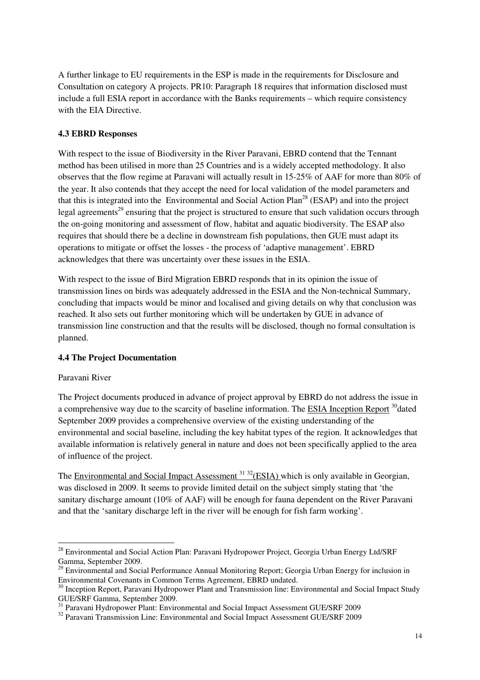A further linkage to EU requirements in the ESP is made in the requirements for Disclosure and Consultation on category A projects. PR10: Paragraph 18 requires that information disclosed must include a full ESIA report in accordance with the Banks requirements – which require consistency with the EIA Directive.

#### **4.3 EBRD Responses**

With respect to the issue of Biodiversity in the River Paravani, EBRD contend that the Tennant method has been utilised in more than 25 Countries and is a widely accepted methodology. It also observes that the flow regime at Paravani will actually result in 15-25% of AAF for more than 80% of the year. It also contends that they accept the need for local validation of the model parameters and that this is integrated into the Environmental and Social Action  $Plan^{28}$  (ESAP) and into the project legal agreements<sup>29</sup> ensuring that the project is structured to ensure that such validation occurs through the on-going monitoring and assessment of flow, habitat and aquatic biodiversity. The ESAP also requires that should there be a decline in downstream fish populations, then GUE must adapt its operations to mitigate or offset the losses - the process of 'adaptive management'. EBRD acknowledges that there was uncertainty over these issues in the ESIA.

With respect to the issue of Bird Migration EBRD responds that in its opinion the issue of transmission lines on birds was adequately addressed in the ESIA and the Non-technical Summary, concluding that impacts would be minor and localised and giving details on why that conclusion was reached. It also sets out further monitoring which will be undertaken by GUE in advance of transmission line construction and that the results will be disclosed, though no formal consultation is planned.

#### **4.4 The Project Documentation**

#### Paravani River

l

The Project documents produced in advance of project approval by EBRD do not address the issue in a comprehensive way due to the scarcity of baseline information. The ESIA Inception Report <sup>30</sup>dated September 2009 provides a comprehensive overview of the existing understanding of the environmental and social baseline, including the key habitat types of the region. It acknowledges that available information is relatively general in nature and does not been specifically applied to the area of influence of the project.

The Environmental and Social Impact Assessment<sup>31 32</sup>(ESIA) which is only available in Georgian, was disclosed in 2009. It seems to provide limited detail on the subject simply stating that 'the sanitary discharge amount (10% of AAF) will be enough for fauna dependent on the River Paravani and that the 'sanitary discharge left in the river will be enough for fish farm working'.

<sup>&</sup>lt;sup>28</sup> Environmental and Social Action Plan: Paravani Hydropower Project, Georgia Urban Energy Ltd/SRF Gamma, September 2009.

<sup>&</sup>lt;sup>29</sup> Environmental and Social Performance Annual Monitoring Report; Georgia Urban Energy for inclusion in Environmental Covenants in Common Terms Agreement, EBRD undated.

<sup>&</sup>lt;sup>30</sup> Inception Report, Paravani Hydropower Plant and Transmission line: Environmental and Social Impact Study GUE/SRF Gamma, September 2009.

<sup>&</sup>lt;sup>31</sup> Paravani Hydropower Plant: Environmental and Social Impact Assessment GUE/SRF 2009

<sup>&</sup>lt;sup>32</sup> Paravani Transmission Line: Environmental and Social Impact Assessment GUE/SRF 2009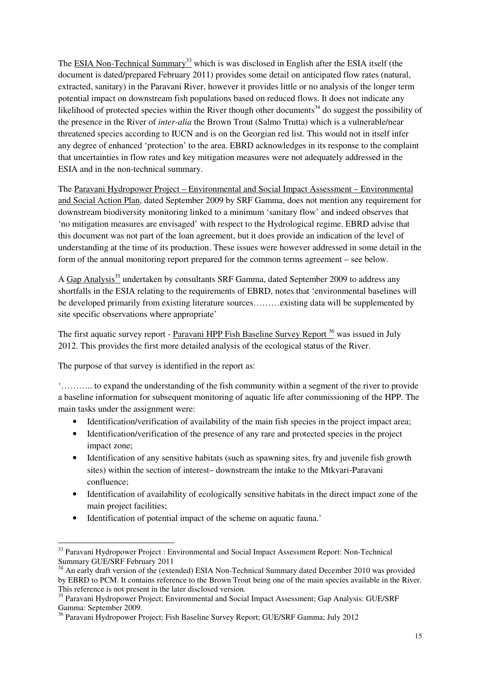The ESIA Non-Technical Summary<sup>33</sup> which is was disclosed in English after the ESIA itself (the document is dated/prepared February 2011) provides some detail on anticipated flow rates (natural, extracted, sanitary) in the Paravani River, however it provides little or no analysis of the longer term potential impact on downstream fish populations based on reduced flows. It does not indicate any likelihood of protected species within the River though other documents<sup>34</sup> do suggest the possibility of the presence in the River of *inter-alia* the Brown Trout (Salmo Trutta) which is a vulnerable/near threatened species according to IUCN and is on the Georgian red list. This would not in itself infer any degree of enhanced 'protection' to the area. EBRD acknowledges in its response to the complaint that uncertainties in flow rates and key mitigation measures were not adequately addressed in the ESIA and in the non-technical summary.

The Paravani Hydropower Project – Environmental and Social Impact Assessment – Environmental and Social Action Plan, dated September 2009 by SRF Gamma, does not mention any requirement for downstream biodiversity monitoring linked to a minimum 'sanitary flow' and indeed observes that 'no mitigation measures are envisaged' with respect to the Hydrological regime. EBRD advise that this document was not part of the loan agreement, but it does provide an indication of the level of understanding at the time of its production. These issues were however addressed in some detail in the form of the annual monitoring report prepared for the common terms agreement – see below.

A Gap Analysis<sup>35</sup> undertaken by consultants SRF Gamma, dated September 2009 to address any shortfalls in the ESIA relating to the requirements of EBRD, notes that 'environmental baselines will be developed primarily from existing literature sources………existing data will be supplemented by site specific observations where appropriate'

The first aquatic survey report - Paravani HPP Fish Baseline Survey Report<sup>36</sup> was issued in July 2012. This provides the first more detailed analysis of the ecological status of the River.

The purpose of that survey is identified in the report as:

l

'……….. to expand the understanding of the fish community within a segment of the river to provide a baseline information for subsequent monitoring of aquatic life after commissioning of the HPP. The main tasks under the assignment were:

- Identification/verification of availability of the main fish species in the project impact area;
- Identification/verification of the presence of any rare and protected species in the project impact zone;
- Identification of any sensitive habitats (such as spawning sites, fry and juvenile fish growth sites) within the section of interest– downstream the intake to the Mtkvari‐Paravani confluence;
- Identification of availability of ecologically sensitive habitats in the direct impact zone of the main project facilities;
- Identification of potential impact of the scheme on aquatic fauna.'

<sup>&</sup>lt;sup>33</sup> Paravani Hydropower Project : Environmental and Social Impact Assessment Report: Non-Technical Summary GUE/SRF February 2011

<sup>&</sup>lt;sup>34</sup> An early draft version of the (extended) ESIA Non-Technical Summary dated December 2010 was provided by EBRD to PCM. It contains reference to the Brown Trout being one of the main species available in the River. This reference is not present in the later disclosed version.

<sup>&</sup>lt;sup>35</sup> Paravani Hydropower Project; Environmental and Social Impact Assessment; Gap Analysis: GUE/SRF Gamma: September 2009.

<sup>36</sup> Paravani Hydropower Project; Fish Baseline Survey Report; GUE/SRF Gamma; July 2012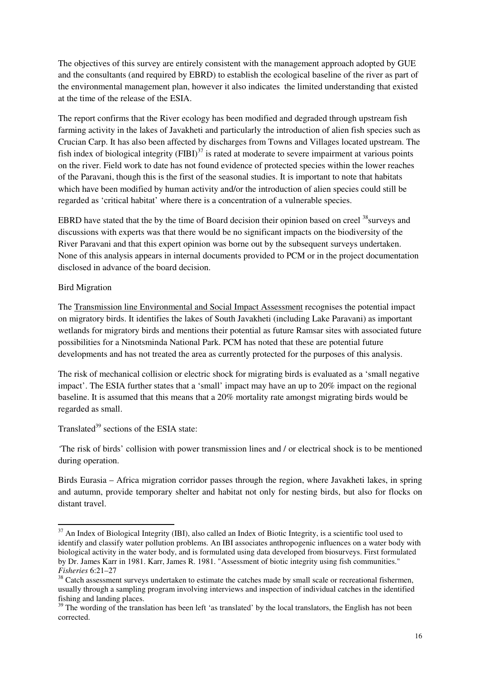The objectives of this survey are entirely consistent with the management approach adopted by GUE and the consultants (and required by EBRD) to establish the ecological baseline of the river as part of the environmental management plan, however it also indicates the limited understanding that existed at the time of the release of the ESIA.

The report confirms that the River ecology has been modified and degraded through upstream fish farming activity in the lakes of Javakheti and particularly the introduction of alien fish species such as Crucian Carp. It has also been affected by discharges from Towns and Villages located upstream. The fish index of biological integrity  $(FIBI)^{37}$  is rated at moderate to severe impairment at various points on the river. Field work to date has not found evidence of protected species within the lower reaches of the Paravani, though this is the first of the seasonal studies. It is important to note that habitats which have been modified by human activity and/or the introduction of alien species could still be regarded as 'critical habitat' where there is a concentration of a vulnerable species.

EBRD have stated that the by the time of Board decision their opinion based on creel <sup>38</sup>surveys and discussions with experts was that there would be no significant impacts on the biodiversity of the River Paravani and that this expert opinion was borne out by the subsequent surveys undertaken. None of this analysis appears in internal documents provided to PCM or in the project documentation disclosed in advance of the board decision.

#### Bird Migration

l

The Transmission line Environmental and Social Impact Assessment recognises the potential impact on migratory birds. It identifies the lakes of South Javakheti (including Lake Paravani) as important wetlands for migratory birds and mentions their potential as future Ramsar sites with associated future possibilities for a Ninotsminda National Park. PCM has noted that these are potential future developments and has not treated the area as currently protected for the purposes of this analysis.

The risk of mechanical collision or electric shock for migrating birds is evaluated as a 'small negative impact'. The ESIA further states that a 'small' impact may have an up to 20% impact on the regional baseline. It is assumed that this means that a 20% mortality rate amongst migrating birds would be regarded as small.

Translated<sup>39</sup> sections of the ESIA state:

*'*The risk of birds' collision with power transmission lines and / or electrical shock is to be mentioned during operation.

Birds Eurasia – Africa migration corridor passes through the region, where Javakheti lakes, in spring and autumn, provide temporary shelter and habitat not only for nesting birds, but also for flocks on distant travel.

<sup>&</sup>lt;sup>37</sup> An Index of Biological Integrity (IBI), also called an Index of Biotic Integrity, is a scientific tool used to identify and classify water pollution problems. An IBI associates anthropogenic influences on a water body with biological activity in the water body, and is formulated using data developed from biosurveys. First formulated by Dr. James Karr in 1981. Karr, James R. 1981. "Assessment of biotic integrity using fish communities." *Fisheries* 6:21–27

<sup>&</sup>lt;sup>38</sup> Catch assessment surveys undertaken to estimate the catches made by small scale or recreational fishermen, usually through a sampling program involving interviews and inspection of individual catches in the identified fishing and landing places.

 $39$  The wording of the translation has been left 'as translated' by the local translators, the English has not been corrected.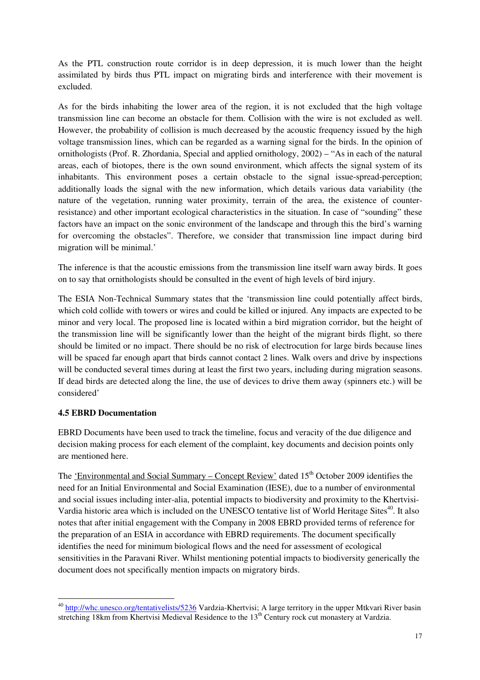As the PTL construction route corridor is in deep depression, it is much lower than the height assimilated by birds thus PTL impact on migrating birds and interference with their movement is excluded.

As for the birds inhabiting the lower area of the region, it is not excluded that the high voltage transmission line can become an obstacle for them. Collision with the wire is not excluded as well. However, the probability of collision is much decreased by the acoustic frequency issued by the high voltage transmission lines, which can be regarded as a warning signal for the birds. In the opinion of ornithologists (Prof. R. Zhordania, Special and applied ornithology, 2002) – "As in each of the natural areas, each of biotopes, there is the own sound environment, which affects the signal system of its inhabitants. This environment poses a certain obstacle to the signal issue-spread-perception; additionally loads the signal with the new information, which details various data variability (the nature of the vegetation, running water proximity, terrain of the area, the existence of counterresistance) and other important ecological characteristics in the situation. In case of "sounding" these factors have an impact on the sonic environment of the landscape and through this the bird's warning for overcoming the obstacles". Therefore, we consider that transmission line impact during bird migration will be minimal.'

The inference is that the acoustic emissions from the transmission line itself warn away birds. It goes on to say that ornithologists should be consulted in the event of high levels of bird injury.

The ESIA Non-Technical Summary states that the 'transmission line could potentially affect birds, which cold collide with towers or wires and could be killed or injured. Any impacts are expected to be minor and very local. The proposed line is located within a bird migration corridor, but the height of the transmission line will be significantly lower than the height of the migrant birds flight, so there should be limited or no impact. There should be no risk of electrocution for large birds because lines will be spaced far enough apart that birds cannot contact 2 lines. Walk overs and drive by inspections will be conducted several times during at least the first two years, including during migration seasons. If dead birds are detected along the line, the use of devices to drive them away (spinners etc.) will be considered'

### **4.5 EBRD Documentation**

l

EBRD Documents have been used to track the timeline, focus and veracity of the due diligence and decision making process for each element of the complaint, key documents and decision points only are mentioned here.

The 'Environmental and Social Summary – Concept Review' dated 15<sup>th</sup> October 2009 identifies the need for an Initial Environmental and Social Examination (IESE), due to a number of environmental and social issues including inter-alia, potential impacts to biodiversity and proximity to the Khertvisi-Vardia historic area which is included on the UNESCO tentative list of World Heritage Sites<sup>40</sup>. It also notes that after initial engagement with the Company in 2008 EBRD provided terms of reference for the preparation of an ESIA in accordance with EBRD requirements. The document specifically identifies the need for minimum biological flows and the need for assessment of ecological sensitivities in the Paravani River. Whilst mentioning potential impacts to biodiversity generically the document does not specifically mention impacts on migratory birds.

<sup>40</sup> http://whc.unesco.org/tentativelists/5236 Vardzia-Khertvisi; A large territory in the upper Mtkvari River basin stretching 18km from Khertvisi Medieval Residence to the 13<sup>th</sup> Century rock cut monastery at Vardzia.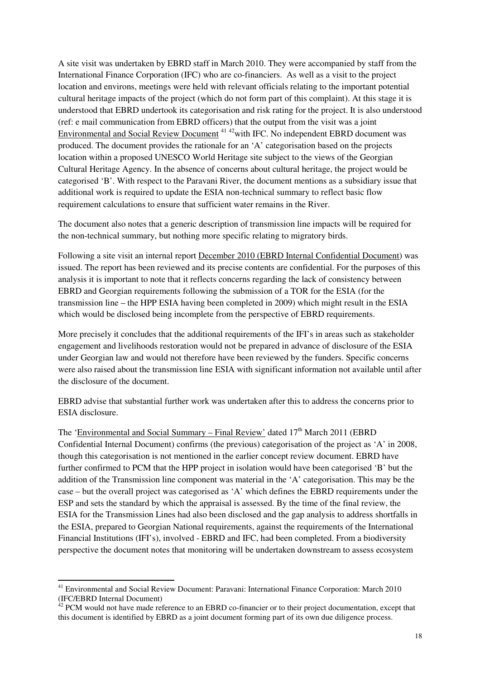A site visit was undertaken by EBRD staff in March 2010. They were accompanied by staff from the International Finance Corporation (IFC) who are co-financiers. As well as a visit to the project location and environs, meetings were held with relevant officials relating to the important potential cultural heritage impacts of the project (which do not form part of this complaint). At this stage it is understood that EBRD undertook its categorisation and risk rating for the project. It is also understood (ref: e mail communication from EBRD officers) that the output from the visit was a joint Environmental and Social Review Document<sup>4142</sup>with IFC. No independent EBRD document was produced. The document provides the rationale for an 'A' categorisation based on the projects location within a proposed UNESCO World Heritage site subject to the views of the Georgian Cultural Heritage Agency. In the absence of concerns about cultural heritage, the project would be categorised 'B'. With respect to the Paravani River, the document mentions as a subsidiary issue that additional work is required to update the ESIA non-technical summary to reflect basic flow requirement calculations to ensure that sufficient water remains in the River.

The document also notes that a generic description of transmission line impacts will be required for the non-technical summary, but nothing more specific relating to migratory birds.

Following a site visit an internal report December 2010 (EBRD Internal Confidential Document) was issued. The report has been reviewed and its precise contents are confidential. For the purposes of this analysis it is important to note that it reflects concerns regarding the lack of consistency between EBRD and Georgian requirements following the submission of a TOR for the ESIA (for the transmission line – the HPP ESIA having been completed in 2009) which might result in the ESIA which would be disclosed being incomplete from the perspective of EBRD requirements.

More precisely it concludes that the additional requirements of the IFI's in areas such as stakeholder engagement and livelihoods restoration would not be prepared in advance of disclosure of the ESIA under Georgian law and would not therefore have been reviewed by the funders. Specific concerns were also raised about the transmission line ESIA with significant information not available until after the disclosure of the document.

EBRD advise that substantial further work was undertaken after this to address the concerns prior to ESIA disclosure.

The 'Environmental and Social Summary – Final Review' dated  $17<sup>th</sup>$  March 2011 (EBRD) Confidential Internal Document) confirms (the previous) categorisation of the project as 'A' in 2008, though this categorisation is not mentioned in the earlier concept review document. EBRD have further confirmed to PCM that the HPP project in isolation would have been categorised 'B' but the addition of the Transmission line component was material in the 'A' categorisation. This may be the case – but the overall project was categorised as 'A' which defines the EBRD requirements under the ESP and sets the standard by which the appraisal is assessed. By the time of the final review, the ESIA for the Transmission Lines had also been disclosed and the gap analysis to address shortfalls in the ESIA, prepared to Georgian National requirements, against the requirements of the International Financial Institutions (IFI's), involved - EBRD and IFC, had been completed. From a biodiversity perspective the document notes that monitoring will be undertaken downstream to assess ecosystem

l

<sup>41</sup> Environmental and Social Review Document: Paravani: International Finance Corporation: March 2010 (IFC/EBRD Internal Document)

 $42$  PCM would not have made reference to an EBRD co-financier or to their project documentation, except that this document is identified by EBRD as a joint document forming part of its own due diligence process.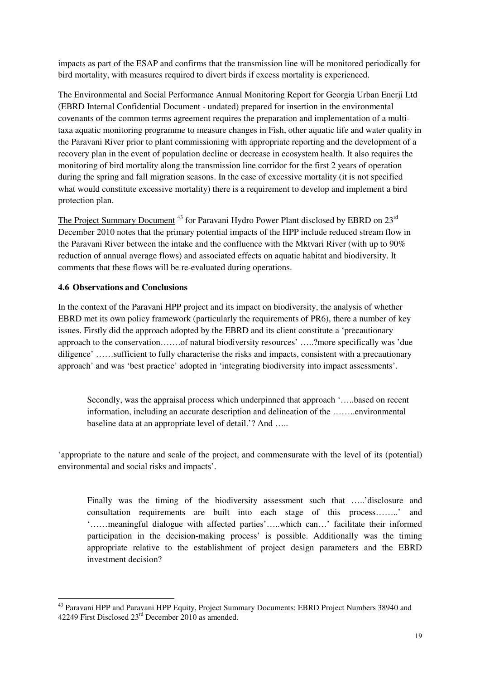impacts as part of the ESAP and confirms that the transmission line will be monitored periodically for bird mortality, with measures required to divert birds if excess mortality is experienced.

The Environmental and Social Performance Annual Monitoring Report for Georgia Urban Enerji Ltd (EBRD Internal Confidential Document - undated) prepared for insertion in the environmental covenants of the common terms agreement requires the preparation and implementation of a multitaxa aquatic monitoring programme to measure changes in Fish, other aquatic life and water quality in the Paravani River prior to plant commissioning with appropriate reporting and the development of a recovery plan in the event of population decline or decrease in ecosystem health. It also requires the monitoring of bird mortality along the transmission line corridor for the first 2 years of operation during the spring and fall migration seasons. In the case of excessive mortality (it is not specified what would constitute excessive mortality) there is a requirement to develop and implement a bird protection plan.

The Project Summary Document<sup>43</sup> for Paravani Hydro Power Plant disclosed by EBRD on 23<sup>rd</sup> December 2010 notes that the primary potential impacts of the HPP include reduced stream flow in the Paravani River between the intake and the confluence with the Mktvari River (with up to 90% reduction of annual average flows) and associated effects on aquatic habitat and biodiversity. It comments that these flows will be re-evaluated during operations.

### **4.6 Observations and Conclusions**

l

In the context of the Paravani HPP project and its impact on biodiversity, the analysis of whether EBRD met its own policy framework (particularly the requirements of PR6), there a number of key issues. Firstly did the approach adopted by the EBRD and its client constitute a 'precautionary approach to the conservation…….of natural biodiversity resources' …..?more specifically was 'due diligence' ……sufficient to fully characterise the risks and impacts, consistent with a precautionary approach' and was 'best practice' adopted in 'integrating biodiversity into impact assessments'.

Secondly, was the appraisal process which underpinned that approach '…..based on recent information, including an accurate description and delineation of the ……..environmental baseline data at an appropriate level of detail.'? And …..

'appropriate to the nature and scale of the project, and commensurate with the level of its (potential) environmental and social risks and impacts'.

Finally was the timing of the biodiversity assessment such that …..'disclosure and consultation requirements are built into each stage of this process……..' and '……meaningful dialogue with affected parties'…..which can…' facilitate their informed participation in the decision-making process' is possible. Additionally was the timing appropriate relative to the establishment of project design parameters and the EBRD investment decision?

<sup>&</sup>lt;sup>43</sup> Paravani HPP and Paravani HPP Equity, Project Summary Documents: EBRD Project Numbers 38940 and 42249 First Disclosed 23rd December 2010 as amended.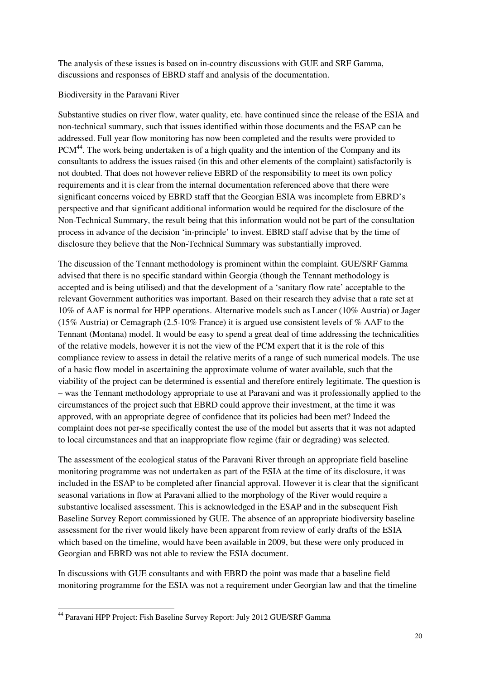The analysis of these issues is based on in-country discussions with GUE and SRF Gamma, discussions and responses of EBRD staff and analysis of the documentation.

#### Biodiversity in the Paravani River

Substantive studies on river flow, water quality, etc. have continued since the release of the ESIA and non-technical summary, such that issues identified within those documents and the ESAP can be addressed. Full year flow monitoring has now been completed and the results were provided to PCM<sup>44</sup>. The work being undertaken is of a high quality and the intention of the Company and its consultants to address the issues raised (in this and other elements of the complaint) satisfactorily is not doubted. That does not however relieve EBRD of the responsibility to meet its own policy requirements and it is clear from the internal documentation referenced above that there were significant concerns voiced by EBRD staff that the Georgian ESIA was incomplete from EBRD's perspective and that significant additional information would be required for the disclosure of the Non-Technical Summary, the result being that this information would not be part of the consultation process in advance of the decision 'in-principle' to invest. EBRD staff advise that by the time of disclosure they believe that the Non-Technical Summary was substantially improved.

The discussion of the Tennant methodology is prominent within the complaint. GUE/SRF Gamma advised that there is no specific standard within Georgia (though the Tennant methodology is accepted and is being utilised) and that the development of a 'sanitary flow rate' acceptable to the relevant Government authorities was important. Based on their research they advise that a rate set at 10% of AAF is normal for HPP operations. Alternative models such as Lancer (10% Austria) or Jager (15% Austria) or Cemagraph (2.5-10% France) it is argued use consistent levels of % AAF to the Tennant (Montana) model. It would be easy to spend a great deal of time addressing the technicalities of the relative models, however it is not the view of the PCM expert that it is the role of this compliance review to assess in detail the relative merits of a range of such numerical models. The use of a basic flow model in ascertaining the approximate volume of water available, such that the viability of the project can be determined is essential and therefore entirely legitimate. The question is – was the Tennant methodology appropriate to use at Paravani and was it professionally applied to the circumstances of the project such that EBRD could approve their investment, at the time it was approved, with an appropriate degree of confidence that its policies had been met? Indeed the complaint does not per-se specifically contest the use of the model but asserts that it was not adapted to local circumstances and that an inappropriate flow regime (fair or degrading) was selected.

The assessment of the ecological status of the Paravani River through an appropriate field baseline monitoring programme was not undertaken as part of the ESIA at the time of its disclosure, it was included in the ESAP to be completed after financial approval. However it is clear that the significant seasonal variations in flow at Paravani allied to the morphology of the River would require a substantive localised assessment. This is acknowledged in the ESAP and in the subsequent Fish Baseline Survey Report commissioned by GUE. The absence of an appropriate biodiversity baseline assessment for the river would likely have been apparent from review of early drafts of the ESIA which based on the timeline, would have been available in 2009, but these were only produced in Georgian and EBRD was not able to review the ESIA document.

In discussions with GUE consultants and with EBRD the point was made that a baseline field monitoring programme for the ESIA was not a requirement under Georgian law and that the timeline

l

<sup>44</sup> Paravani HPP Project: Fish Baseline Survey Report: July 2012 GUE/SRF Gamma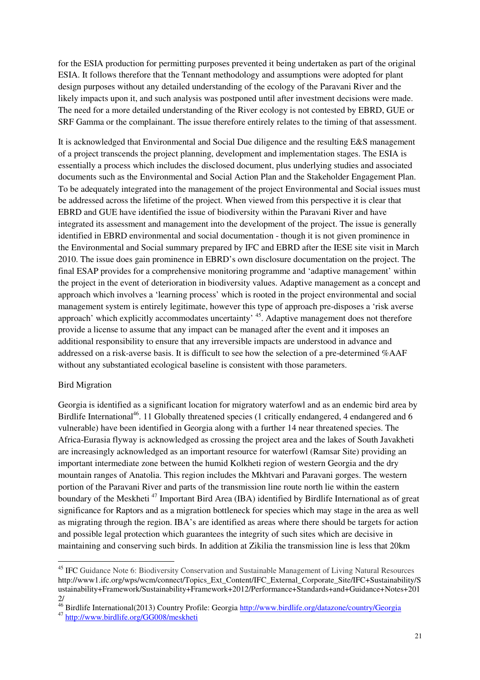for the ESIA production for permitting purposes prevented it being undertaken as part of the original ESIA. It follows therefore that the Tennant methodology and assumptions were adopted for plant design purposes without any detailed understanding of the ecology of the Paravani River and the likely impacts upon it, and such analysis was postponed until after investment decisions were made. The need for a more detailed understanding of the River ecology is not contested by EBRD, GUE or SRF Gamma or the complainant. The issue therefore entirely relates to the timing of that assessment.

It is acknowledged that Environmental and Social Due diligence and the resulting E&S management of a project transcends the project planning, development and implementation stages. The ESIA is essentially a process which includes the disclosed document, plus underlying studies and associated documents such as the Environmental and Social Action Plan and the Stakeholder Engagement Plan. To be adequately integrated into the management of the project Environmental and Social issues must be addressed across the lifetime of the project. When viewed from this perspective it is clear that EBRD and GUE have identified the issue of biodiversity within the Paravani River and have integrated its assessment and management into the development of the project. The issue is generally identified in EBRD environmental and social documentation - though it is not given prominence in the Environmental and Social summary prepared by IFC and EBRD after the IESE site visit in March 2010. The issue does gain prominence in EBRD's own disclosure documentation on the project. The final ESAP provides for a comprehensive monitoring programme and 'adaptive management' within the project in the event of deterioration in biodiversity values. Adaptive management as a concept and approach which involves a 'learning process' which is rooted in the project environmental and social management system is entirely legitimate, however this type of approach pre-disposes a 'risk averse approach' which explicitly accommodates uncertainty' <sup>45</sup>. Adaptive management does not therefore provide a license to assume that any impact can be managed after the event and it imposes an additional responsibility to ensure that any irreversible impacts are understood in advance and addressed on a risk-averse basis. It is difficult to see how the selection of a pre-determined %AAF without any substantiated ecological baseline is consistent with those parameters.

#### Bird Migration

 $\overline{a}$ 

Georgia is identified as a significant location for migratory waterfowl and as an endemic bird area by Birdlife International<sup>46</sup>. 11 Globally threatened species (1 critically endangered, 4 endangered and 6 vulnerable) have been identified in Georgia along with a further 14 near threatened species. The Africa-Eurasia flyway is acknowledged as crossing the project area and the lakes of South Javakheti are increasingly acknowledged as an important resource for waterfowl (Ramsar Site) providing an important intermediate zone between the humid Kolkheti region of western Georgia and the dry mountain ranges of Anatolia. This region includes the Mkhtvari and Paravani gorges. The western portion of the Paravani River and parts of the transmission line route north lie within the eastern boundary of the Meskheti<sup>47</sup> Important Bird Area (IBA) identified by Birdlife International as of great significance for Raptors and as a migration bottleneck for species which may stage in the area as well as migrating through the region. IBA's are identified as areas where there should be targets for action and possible legal protection which guarantees the integrity of such sites which are decisive in maintaining and conserving such birds. In addition at Zikilia the transmission line is less that 20km

<sup>45</sup> IFC Guidance Note 6: Biodiversity Conservation and Sustainable Management of Living Natural Resources http://www1.ifc.org/wps/wcm/connect/Topics\_Ext\_Content/IFC\_External\_Corporate\_Site/IFC+Sustainability/S ustainability+Framework/Sustainability+Framework+2012/Performance+Standards+and+Guidance+Notes+201 2/

<sup>&</sup>lt;sup>46</sup> Birdlife International(2013) Country Profile: Georgia http://www.birdlife.org/datazone/country/Georgia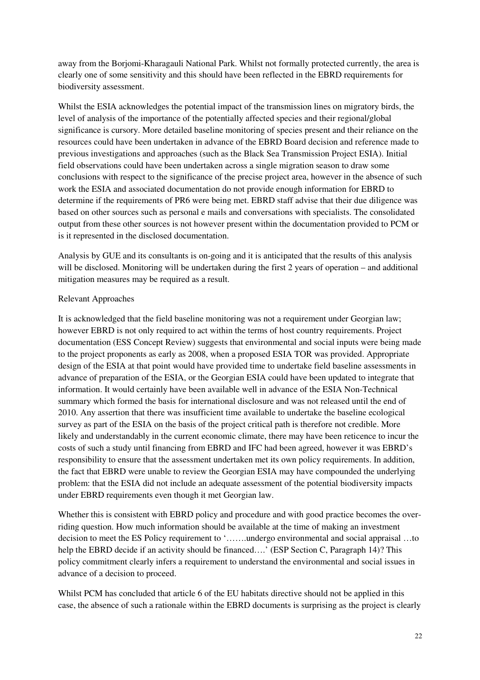away from the Borjomi-Kharagauli National Park. Whilst not formally protected currently, the area is clearly one of some sensitivity and this should have been reflected in the EBRD requirements for biodiversity assessment.

Whilst the ESIA acknowledges the potential impact of the transmission lines on migratory birds, the level of analysis of the importance of the potentially affected species and their regional/global significance is cursory. More detailed baseline monitoring of species present and their reliance on the resources could have been undertaken in advance of the EBRD Board decision and reference made to previous investigations and approaches (such as the Black Sea Transmission Project ESIA). Initial field observations could have been undertaken across a single migration season to draw some conclusions with respect to the significance of the precise project area, however in the absence of such work the ESIA and associated documentation do not provide enough information for EBRD to determine if the requirements of PR6 were being met. EBRD staff advise that their due diligence was based on other sources such as personal e mails and conversations with specialists. The consolidated output from these other sources is not however present within the documentation provided to PCM or is it represented in the disclosed documentation.

Analysis by GUE and its consultants is on-going and it is anticipated that the results of this analysis will be disclosed. Monitoring will be undertaken during the first 2 years of operation – and additional mitigation measures may be required as a result.

#### Relevant Approaches

It is acknowledged that the field baseline monitoring was not a requirement under Georgian law; however EBRD is not only required to act within the terms of host country requirements. Project documentation (ESS Concept Review) suggests that environmental and social inputs were being made to the project proponents as early as 2008, when a proposed ESIA TOR was provided. Appropriate design of the ESIA at that point would have provided time to undertake field baseline assessments in advance of preparation of the ESIA, or the Georgian ESIA could have been updated to integrate that information. It would certainly have been available well in advance of the ESIA Non-Technical summary which formed the basis for international disclosure and was not released until the end of 2010. Any assertion that there was insufficient time available to undertake the baseline ecological survey as part of the ESIA on the basis of the project critical path is therefore not credible. More likely and understandably in the current economic climate, there may have been reticence to incur the costs of such a study until financing from EBRD and IFC had been agreed, however it was EBRD's responsibility to ensure that the assessment undertaken met its own policy requirements. In addition, the fact that EBRD were unable to review the Georgian ESIA may have compounded the underlying problem: that the ESIA did not include an adequate assessment of the potential biodiversity impacts under EBRD requirements even though it met Georgian law.

Whether this is consistent with EBRD policy and procedure and with good practice becomes the overriding question. How much information should be available at the time of making an investment decision to meet the ES Policy requirement to '…….undergo environmental and social appraisal …to help the EBRD decide if an activity should be financed....' (ESP Section C, Paragraph 14)? This policy commitment clearly infers a requirement to understand the environmental and social issues in advance of a decision to proceed.

Whilst PCM has concluded that article 6 of the EU habitats directive should not be applied in this case, the absence of such a rationale within the EBRD documents is surprising as the project is clearly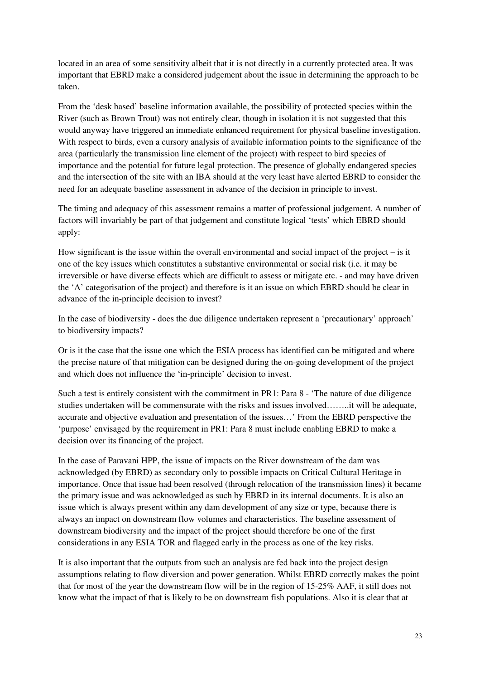located in an area of some sensitivity albeit that it is not directly in a currently protected area. It was important that EBRD make a considered judgement about the issue in determining the approach to be taken.

From the 'desk based' baseline information available, the possibility of protected species within the River (such as Brown Trout) was not entirely clear, though in isolation it is not suggested that this would anyway have triggered an immediate enhanced requirement for physical baseline investigation. With respect to birds, even a cursory analysis of available information points to the significance of the area (particularly the transmission line element of the project) with respect to bird species of importance and the potential for future legal protection. The presence of globally endangered species and the intersection of the site with an IBA should at the very least have alerted EBRD to consider the need for an adequate baseline assessment in advance of the decision in principle to invest.

The timing and adequacy of this assessment remains a matter of professional judgement. A number of factors will invariably be part of that judgement and constitute logical 'tests' which EBRD should apply:

How significant is the issue within the overall environmental and social impact of the project – is it one of the key issues which constitutes a substantive environmental or social risk (i.e. it may be irreversible or have diverse effects which are difficult to assess or mitigate etc. - and may have driven the 'A' categorisation of the project) and therefore is it an issue on which EBRD should be clear in advance of the in-principle decision to invest?

In the case of biodiversity - does the due diligence undertaken represent a 'precautionary' approach' to biodiversity impacts?

Or is it the case that the issue one which the ESIA process has identified can be mitigated and where the precise nature of that mitigation can be designed during the on-going development of the project and which does not influence the 'in-principle' decision to invest.

Such a test is entirely consistent with the commitment in PR1: Para 8 - 'The nature of due diligence studies undertaken will be commensurate with the risks and issues involved……..it will be adequate, accurate and objective evaluation and presentation of the issues…' From the EBRD perspective the 'purpose' envisaged by the requirement in PR1: Para 8 must include enabling EBRD to make a decision over its financing of the project.

In the case of Paravani HPP, the issue of impacts on the River downstream of the dam was acknowledged (by EBRD) as secondary only to possible impacts on Critical Cultural Heritage in importance. Once that issue had been resolved (through relocation of the transmission lines) it became the primary issue and was acknowledged as such by EBRD in its internal documents. It is also an issue which is always present within any dam development of any size or type, because there is always an impact on downstream flow volumes and characteristics. The baseline assessment of downstream biodiversity and the impact of the project should therefore be one of the first considerations in any ESIA TOR and flagged early in the process as one of the key risks.

It is also important that the outputs from such an analysis are fed back into the project design assumptions relating to flow diversion and power generation. Whilst EBRD correctly makes the point that for most of the year the downstream flow will be in the region of 15-25% AAF, it still does not know what the impact of that is likely to be on downstream fish populations. Also it is clear that at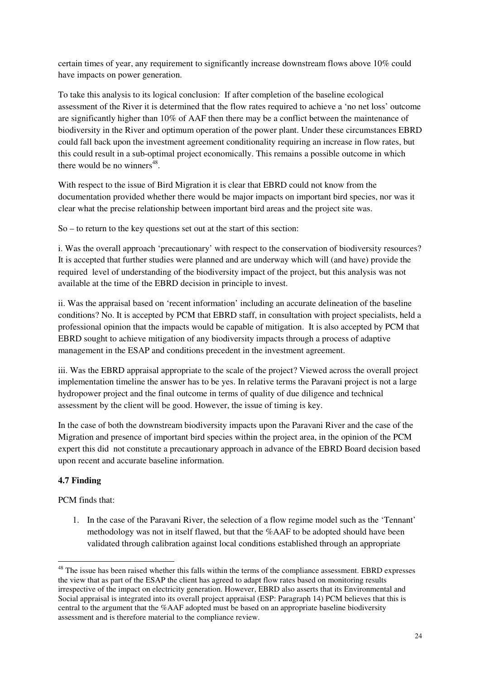certain times of year, any requirement to significantly increase downstream flows above 10% could have impacts on power generation.

To take this analysis to its logical conclusion: If after completion of the baseline ecological assessment of the River it is determined that the flow rates required to achieve a 'no net loss' outcome are significantly higher than 10% of AAF then there may be a conflict between the maintenance of biodiversity in the River and optimum operation of the power plant. Under these circumstances EBRD could fall back upon the investment agreement conditionality requiring an increase in flow rates, but this could result in a sub-optimal project economically. This remains a possible outcome in which there would be no winners<sup>48</sup>.

With respect to the issue of Bird Migration it is clear that EBRD could not know from the documentation provided whether there would be major impacts on important bird species, nor was it clear what the precise relationship between important bird areas and the project site was.

So – to return to the key questions set out at the start of this section:

i. Was the overall approach 'precautionary' with respect to the conservation of biodiversity resources? It is accepted that further studies were planned and are underway which will (and have) provide the required level of understanding of the biodiversity impact of the project, but this analysis was not available at the time of the EBRD decision in principle to invest.

ii. Was the appraisal based on 'recent information' including an accurate delineation of the baseline conditions? No. It is accepted by PCM that EBRD staff, in consultation with project specialists, held a professional opinion that the impacts would be capable of mitigation. It is also accepted by PCM that EBRD sought to achieve mitigation of any biodiversity impacts through a process of adaptive management in the ESAP and conditions precedent in the investment agreement.

iii. Was the EBRD appraisal appropriate to the scale of the project? Viewed across the overall project implementation timeline the answer has to be yes. In relative terms the Paravani project is not a large hydropower project and the final outcome in terms of quality of due diligence and technical assessment by the client will be good. However, the issue of timing is key.

In the case of both the downstream biodiversity impacts upon the Paravani River and the case of the Migration and presence of important bird species within the project area, in the opinion of the PCM expert this did not constitute a precautionary approach in advance of the EBRD Board decision based upon recent and accurate baseline information.

### **4.7 Finding**

 $\overline{a}$ 

PCM finds that:

1. In the case of the Paravani River, the selection of a flow regime model such as the 'Tennant' methodology was not in itself flawed, but that the %AAF to be adopted should have been validated through calibration against local conditions established through an appropriate

<sup>&</sup>lt;sup>48</sup> The issue has been raised whether this falls within the terms of the compliance assessment. EBRD expresses the view that as part of the ESAP the client has agreed to adapt flow rates based on monitoring results irrespective of the impact on electricity generation. However, EBRD also asserts that its Environmental and Social appraisal is integrated into its overall project appraisal (ESP: Paragraph 14) PCM believes that this is central to the argument that the %AAF adopted must be based on an appropriate baseline biodiversity assessment and is therefore material to the compliance review.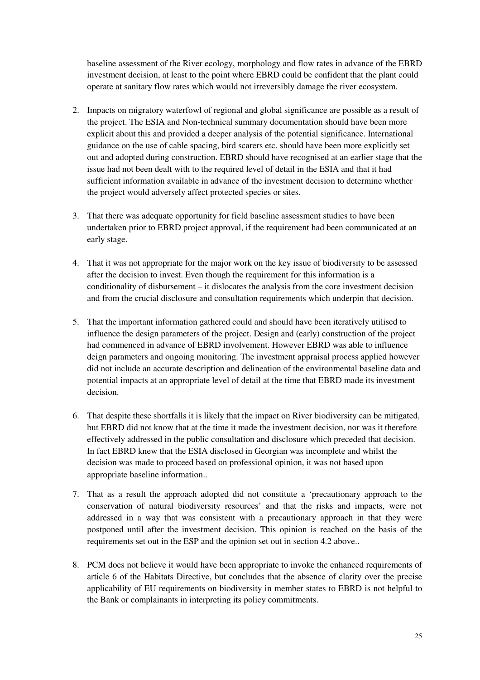baseline assessment of the River ecology, morphology and flow rates in advance of the EBRD investment decision, at least to the point where EBRD could be confident that the plant could operate at sanitary flow rates which would not irreversibly damage the river ecosystem.

- 2. Impacts on migratory waterfowl of regional and global significance are possible as a result of the project. The ESIA and Non-technical summary documentation should have been more explicit about this and provided a deeper analysis of the potential significance. International guidance on the use of cable spacing, bird scarers etc. should have been more explicitly set out and adopted during construction. EBRD should have recognised at an earlier stage that the issue had not been dealt with to the required level of detail in the ESIA and that it had sufficient information available in advance of the investment decision to determine whether the project would adversely affect protected species or sites.
- 3. That there was adequate opportunity for field baseline assessment studies to have been undertaken prior to EBRD project approval, if the requirement had been communicated at an early stage.
- 4. That it was not appropriate for the major work on the key issue of biodiversity to be assessed after the decision to invest. Even though the requirement for this information is a conditionality of disbursement – it dislocates the analysis from the core investment decision and from the crucial disclosure and consultation requirements which underpin that decision.
- 5. That the important information gathered could and should have been iteratively utilised to influence the design parameters of the project. Design and (early) construction of the project had commenced in advance of EBRD involvement. However EBRD was able to influence deign parameters and ongoing monitoring. The investment appraisal process applied however did not include an accurate description and delineation of the environmental baseline data and potential impacts at an appropriate level of detail at the time that EBRD made its investment decision.
- 6. That despite these shortfalls it is likely that the impact on River biodiversity can be mitigated, but EBRD did not know that at the time it made the investment decision, nor was it therefore effectively addressed in the public consultation and disclosure which preceded that decision. In fact EBRD knew that the ESIA disclosed in Georgian was incomplete and whilst the decision was made to proceed based on professional opinion, it was not based upon appropriate baseline information..
- 7. That as a result the approach adopted did not constitute a 'precautionary approach to the conservation of natural biodiversity resources' and that the risks and impacts, were not addressed in a way that was consistent with a precautionary approach in that they were postponed until after the investment decision. This opinion is reached on the basis of the requirements set out in the ESP and the opinion set out in section 4.2 above..
- 8. PCM does not believe it would have been appropriate to invoke the enhanced requirements of article 6 of the Habitats Directive, but concludes that the absence of clarity over the precise applicability of EU requirements on biodiversity in member states to EBRD is not helpful to the Bank or complainants in interpreting its policy commitments.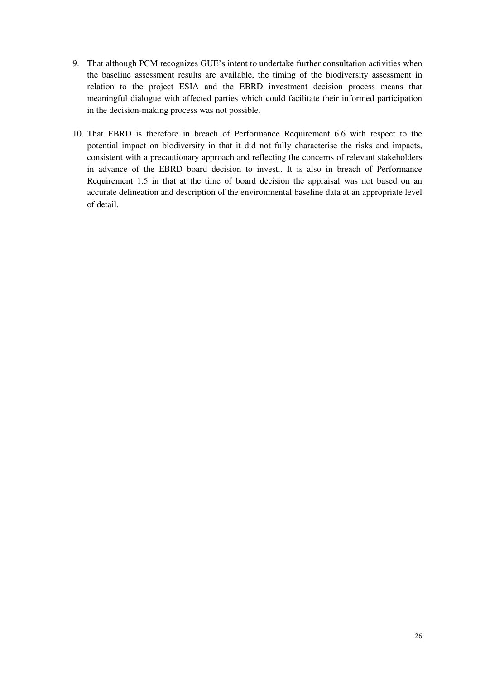- 9. That although PCM recognizes GUE's intent to undertake further consultation activities when the baseline assessment results are available, the timing of the biodiversity assessment in relation to the project ESIA and the EBRD investment decision process means that meaningful dialogue with affected parties which could facilitate their informed participation in the decision-making process was not possible.
- 10. That EBRD is therefore in breach of Performance Requirement 6.6 with respect to the potential impact on biodiversity in that it did not fully characterise the risks and impacts, consistent with a precautionary approach and reflecting the concerns of relevant stakeholders in advance of the EBRD board decision to invest.. It is also in breach of Performance Requirement 1.5 in that at the time of board decision the appraisal was not based on an accurate delineation and description of the environmental baseline data at an appropriate level of detail.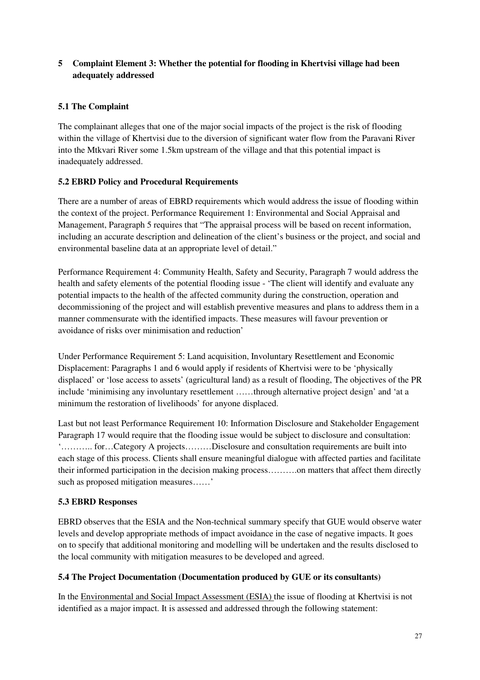## **5 Complaint Element 3: Whether the potential for flooding in Khertvisi village had been adequately addressed**

## **5.1 The Complaint**

The complainant alleges that one of the major social impacts of the project is the risk of flooding within the village of Khertvisi due to the diversion of significant water flow from the Paravani River into the Mtkvari River some 1.5km upstream of the village and that this potential impact is inadequately addressed.

## **5.2 EBRD Policy and Procedural Requirements**

There are a number of areas of EBRD requirements which would address the issue of flooding within the context of the project. Performance Requirement 1: Environmental and Social Appraisal and Management, Paragraph 5 requires that "The appraisal process will be based on recent information, including an accurate description and delineation of the client's business or the project, and social and environmental baseline data at an appropriate level of detail."

Performance Requirement 4: Community Health, Safety and Security, Paragraph 7 would address the health and safety elements of the potential flooding issue - 'The client will identify and evaluate any potential impacts to the health of the affected community during the construction, operation and decommissioning of the project and will establish preventive measures and plans to address them in a manner commensurate with the identified impacts. These measures will favour prevention or avoidance of risks over minimisation and reduction'

Under Performance Requirement 5: Land acquisition, Involuntary Resettlement and Economic Displacement: Paragraphs 1 and 6 would apply if residents of Khertvisi were to be 'physically displaced' or 'lose access to assets' (agricultural land) as a result of flooding, The objectives of the PR include 'minimising any involuntary resettlement ……through alternative project design' and 'at a minimum the restoration of livelihoods' for anyone displaced.

Last but not least Performance Requirement 10: Information Disclosure and Stakeholder Engagement Paragraph 17 would require that the flooding issue would be subject to disclosure and consultation: '……….. for…Category A projects………Disclosure and consultation requirements are built into each stage of this process. Clients shall ensure meaningful dialogue with affected parties and facilitate their informed participation in the decision making process……….on matters that affect them directly such as proposed mitigation measures……'

### **5.3 EBRD Responses**

EBRD observes that the ESIA and the Non-technical summary specify that GUE would observe water levels and develop appropriate methods of impact avoidance in the case of negative impacts. It goes on to specify that additional monitoring and modelling will be undertaken and the results disclosed to the local community with mitigation measures to be developed and agreed.

### **5.4 The Project Documentation (Documentation produced by GUE or its consultants)**

In the Environmental and Social Impact Assessment (ESIA) the issue of flooding at Khertvisi is not identified as a major impact. It is assessed and addressed through the following statement: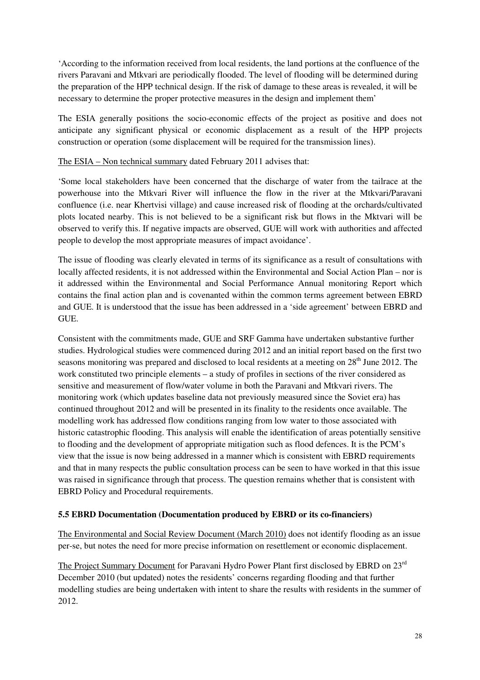'According to the information received from local residents, the land portions at the confluence of the rivers Paravani and Mtkvari are periodically flooded. The level of flooding will be determined during the preparation of the HPP technical design. If the risk of damage to these areas is revealed, it will be necessary to determine the proper protective measures in the design and implement them'

The ESIA generally positions the socio-economic effects of the project as positive and does not anticipate any significant physical or economic displacement as a result of the HPP projects construction or operation (some displacement will be required for the transmission lines).

#### The ESIA – Non technical summary dated February 2011 advises that:

'Some local stakeholders have been concerned that the discharge of water from the tailrace at the powerhouse into the Mtkvari River will influence the flow in the river at the Mtkvari/Paravani confluence (i.e. near Khertvisi village) and cause increased risk of flooding at the orchards/cultivated plots located nearby. This is not believed to be a significant risk but flows in the Mktvari will be observed to verify this. If negative impacts are observed, GUE will work with authorities and affected people to develop the most appropriate measures of impact avoidance'.

The issue of flooding was clearly elevated in terms of its significance as a result of consultations with locally affected residents, it is not addressed within the Environmental and Social Action Plan – nor is it addressed within the Environmental and Social Performance Annual monitoring Report which contains the final action plan and is covenanted within the common terms agreement between EBRD and GUE. It is understood that the issue has been addressed in a 'side agreement' between EBRD and GUE.

Consistent with the commitments made, GUE and SRF Gamma have undertaken substantive further studies. Hydrological studies were commenced during 2012 and an initial report based on the first two seasons monitoring was prepared and disclosed to local residents at a meeting on  $28<sup>th</sup>$  June 2012. The work constituted two principle elements – a study of profiles in sections of the river considered as sensitive and measurement of flow/water volume in both the Paravani and Mtkvari rivers. The monitoring work (which updates baseline data not previously measured since the Soviet era) has continued throughout 2012 and will be presented in its finality to the residents once available. The modelling work has addressed flow conditions ranging from low water to those associated with historic catastrophic flooding. This analysis will enable the identification of areas potentially sensitive to flooding and the development of appropriate mitigation such as flood defences. It is the PCM's view that the issue is now being addressed in a manner which is consistent with EBRD requirements and that in many respects the public consultation process can be seen to have worked in that this issue was raised in significance through that process. The question remains whether that is consistent with EBRD Policy and Procedural requirements.

#### **5.5 EBRD Documentation (Documentation produced by EBRD or its co-financiers)**

The Environmental and Social Review Document (March 2010) does not identify flooding as an issue per-se, but notes the need for more precise information on resettlement or economic displacement.

The Project Summary Document for Paravani Hydro Power Plant first disclosed by EBRD on 23<sup>rd</sup> December 2010 (but updated) notes the residents' concerns regarding flooding and that further modelling studies are being undertaken with intent to share the results with residents in the summer of 2012.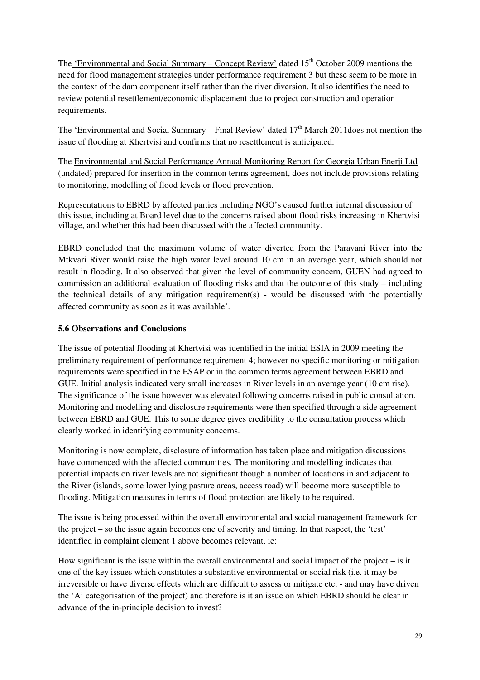The 'Environmental and Social Summary – Concept Review' dated  $15<sup>th</sup>$  October 2009 mentions the need for flood management strategies under performance requirement 3 but these seem to be more in the context of the dam component itself rather than the river diversion. It also identifies the need to review potential resettlement/economic displacement due to project construction and operation requirements.

The 'Environmental and Social Summary – Final Review' dated  $17<sup>th</sup>$  March 2011does not mention the issue of flooding at Khertvisi and confirms that no resettlement is anticipated.

The Environmental and Social Performance Annual Monitoring Report for Georgia Urban Enerji Ltd (undated) prepared for insertion in the common terms agreement, does not include provisions relating to monitoring, modelling of flood levels or flood prevention.

Representations to EBRD by affected parties including NGO's caused further internal discussion of this issue, including at Board level due to the concerns raised about flood risks increasing in Khertvisi village, and whether this had been discussed with the affected community.

EBRD concluded that the maximum volume of water diverted from the Paravani River into the Mtkvari River would raise the high water level around 10 cm in an average year, which should not result in flooding. It also observed that given the level of community concern, GUEN had agreed to commission an additional evaluation of flooding risks and that the outcome of this study – including the technical details of any mitigation requirement(s) - would be discussed with the potentially affected community as soon as it was available'.

### **5.6 Observations and Conclusions**

The issue of potential flooding at Khertvisi was identified in the initial ESIA in 2009 meeting the preliminary requirement of performance requirement 4; however no specific monitoring or mitigation requirements were specified in the ESAP or in the common terms agreement between EBRD and GUE. Initial analysis indicated very small increases in River levels in an average year (10 cm rise). The significance of the issue however was elevated following concerns raised in public consultation. Monitoring and modelling and disclosure requirements were then specified through a side agreement between EBRD and GUE. This to some degree gives credibility to the consultation process which clearly worked in identifying community concerns.

Monitoring is now complete, disclosure of information has taken place and mitigation discussions have commenced with the affected communities. The monitoring and modelling indicates that potential impacts on river levels are not significant though a number of locations in and adjacent to the River (islands, some lower lying pasture areas, access road) will become more susceptible to flooding. Mitigation measures in terms of flood protection are likely to be required.

The issue is being processed within the overall environmental and social management framework for the project – so the issue again becomes one of severity and timing. In that respect, the 'test' identified in complaint element 1 above becomes relevant, ie:

How significant is the issue within the overall environmental and social impact of the project – is it one of the key issues which constitutes a substantive environmental or social risk (i.e. it may be irreversible or have diverse effects which are difficult to assess or mitigate etc. - and may have driven the 'A' categorisation of the project) and therefore is it an issue on which EBRD should be clear in advance of the in-principle decision to invest?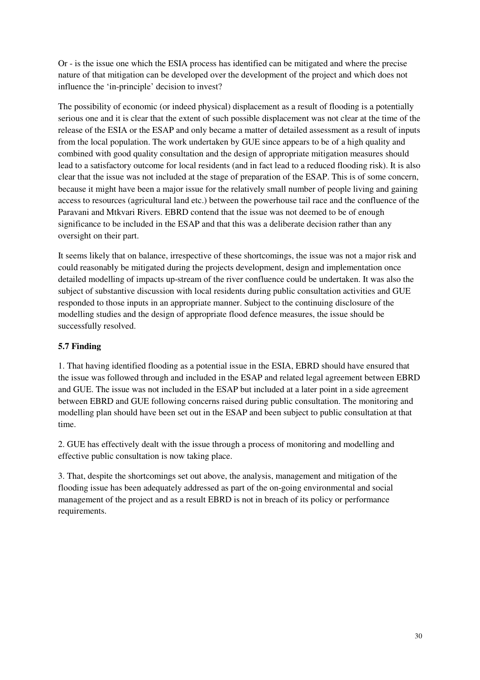Or - is the issue one which the ESIA process has identified can be mitigated and where the precise nature of that mitigation can be developed over the development of the project and which does not influence the 'in-principle' decision to invest?

The possibility of economic (or indeed physical) displacement as a result of flooding is a potentially serious one and it is clear that the extent of such possible displacement was not clear at the time of the release of the ESIA or the ESAP and only became a matter of detailed assessment as a result of inputs from the local population. The work undertaken by GUE since appears to be of a high quality and combined with good quality consultation and the design of appropriate mitigation measures should lead to a satisfactory outcome for local residents (and in fact lead to a reduced flooding risk). It is also clear that the issue was not included at the stage of preparation of the ESAP. This is of some concern, because it might have been a major issue for the relatively small number of people living and gaining access to resources (agricultural land etc.) between the powerhouse tail race and the confluence of the Paravani and Mtkvari Rivers. EBRD contend that the issue was not deemed to be of enough significance to be included in the ESAP and that this was a deliberate decision rather than any oversight on their part.

It seems likely that on balance, irrespective of these shortcomings, the issue was not a major risk and could reasonably be mitigated during the projects development, design and implementation once detailed modelling of impacts up-stream of the river confluence could be undertaken. It was also the subject of substantive discussion with local residents during public consultation activities and GUE responded to those inputs in an appropriate manner. Subject to the continuing disclosure of the modelling studies and the design of appropriate flood defence measures, the issue should be successfully resolved.

## **5.7 Finding**

1. That having identified flooding as a potential issue in the ESIA, EBRD should have ensured that the issue was followed through and included in the ESAP and related legal agreement between EBRD and GUE. The issue was not included in the ESAP but included at a later point in a side agreement between EBRD and GUE following concerns raised during public consultation. The monitoring and modelling plan should have been set out in the ESAP and been subject to public consultation at that time.

2. GUE has effectively dealt with the issue through a process of monitoring and modelling and effective public consultation is now taking place.

3. That, despite the shortcomings set out above, the analysis, management and mitigation of the flooding issue has been adequately addressed as part of the on-going environmental and social management of the project and as a result EBRD is not in breach of its policy or performance requirements.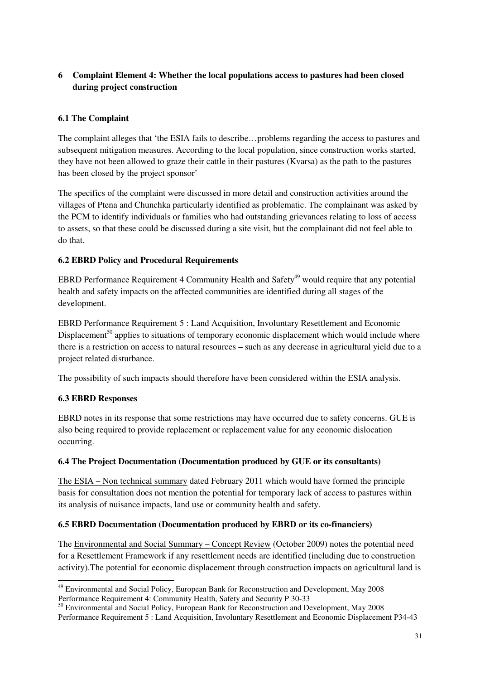## **6 Complaint Element 4: Whether the local populations access to pastures had been closed during project construction**

## **6.1 The Complaint**

The complaint alleges that 'the ESIA fails to describe…problems regarding the access to pastures and subsequent mitigation measures. According to the local population, since construction works started, they have not been allowed to graze their cattle in their pastures (Kvarsa) as the path to the pastures has been closed by the project sponsor'

The specifics of the complaint were discussed in more detail and construction activities around the villages of Ptena and Chunchka particularly identified as problematic. The complainant was asked by the PCM to identify individuals or families who had outstanding grievances relating to loss of access to assets, so that these could be discussed during a site visit, but the complainant did not feel able to do that.

### **6.2 EBRD Policy and Procedural Requirements**

EBRD Performance Requirement 4 Community Health and Safety<sup>49</sup> would require that any potential health and safety impacts on the affected communities are identified during all stages of the development.

EBRD Performance Requirement 5 : Land Acquisition, Involuntary Resettlement and Economic Displacement<sup>50</sup> applies to situations of temporary economic displacement which would include where there is a restriction on access to natural resources – such as any decrease in agricultural yield due to a project related disturbance.

The possibility of such impacts should therefore have been considered within the ESIA analysis.

### **6.3 EBRD Responses**

l

EBRD notes in its response that some restrictions may have occurred due to safety concerns. GUE is also being required to provide replacement or replacement value for any economic dislocation occurring.

### **6.4 The Project Documentation (Documentation produced by GUE or its consultants)**

The ESIA – Non technical summary dated February 2011 which would have formed the principle basis for consultation does not mention the potential for temporary lack of access to pastures within its analysis of nuisance impacts, land use or community health and safety.

### **6.5 EBRD Documentation (Documentation produced by EBRD or its co-financiers)**

The Environmental and Social Summary – Concept Review (October 2009) notes the potential need for a Resettlement Framework if any resettlement needs are identified (including due to construction activity).The potential for economic displacement through construction impacts on agricultural land is

<sup>49</sup> Environmental and Social Policy, European Bank for Reconstruction and Development, May 2008 Performance Requirement 4: Community Health, Safety and Security P 30-33

<sup>&</sup>lt;sup>50</sup> Environmental and Social Policy, European Bank for Reconstruction and Development, May 2008 Performance Requirement 5 : Land Acquisition, Involuntary Resettlement and Economic Displacement P34-43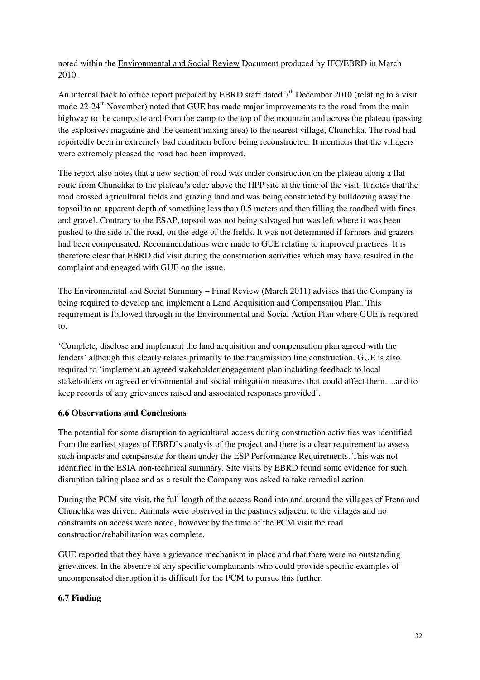noted within the Environmental and Social Review Document produced by IFC/EBRD in March 2010.

An internal back to office report prepared by EBRD staff dated  $7<sup>th</sup>$  December 2010 (relating to a visit made  $22-24<sup>th</sup>$  November) noted that GUE has made major improvements to the road from the main highway to the camp site and from the camp to the top of the mountain and across the plateau (passing the explosives magazine and the cement mixing area) to the nearest village, Chunchka. The road had reportedly been in extremely bad condition before being reconstructed. It mentions that the villagers were extremely pleased the road had been improved.

The report also notes that a new section of road was under construction on the plateau along a flat route from Chunchka to the plateau's edge above the HPP site at the time of the visit. It notes that the road crossed agricultural fields and grazing land and was being constructed by bulldozing away the topsoil to an apparent depth of something less than 0.5 meters and then filling the roadbed with fines and gravel. Contrary to the ESAP, topsoil was not being salvaged but was left where it was been pushed to the side of the road, on the edge of the fields. It was not determined if farmers and grazers had been compensated. Recommendations were made to GUE relating to improved practices. It is therefore clear that EBRD did visit during the construction activities which may have resulted in the complaint and engaged with GUE on the issue.

The Environmental and Social Summary – Final Review (March 2011) advises that the Company is being required to develop and implement a Land Acquisition and Compensation Plan. This requirement is followed through in the Environmental and Social Action Plan where GUE is required to:

'Complete, disclose and implement the land acquisition and compensation plan agreed with the lenders' although this clearly relates primarily to the transmission line construction. GUE is also required to 'implement an agreed stakeholder engagement plan including feedback to local stakeholders on agreed environmental and social mitigation measures that could affect them….and to keep records of any grievances raised and associated responses provided'.

### **6.6 Observations and Conclusions**

The potential for some disruption to agricultural access during construction activities was identified from the earliest stages of EBRD's analysis of the project and there is a clear requirement to assess such impacts and compensate for them under the ESP Performance Requirements. This was not identified in the ESIA non-technical summary. Site visits by EBRD found some evidence for such disruption taking place and as a result the Company was asked to take remedial action.

During the PCM site visit, the full length of the access Road into and around the villages of Ptena and Chunchka was driven. Animals were observed in the pastures adjacent to the villages and no constraints on access were noted, however by the time of the PCM visit the road construction/rehabilitation was complete.

GUE reported that they have a grievance mechanism in place and that there were no outstanding grievances. In the absence of any specific complainants who could provide specific examples of uncompensated disruption it is difficult for the PCM to pursue this further.

## **6.7 Finding**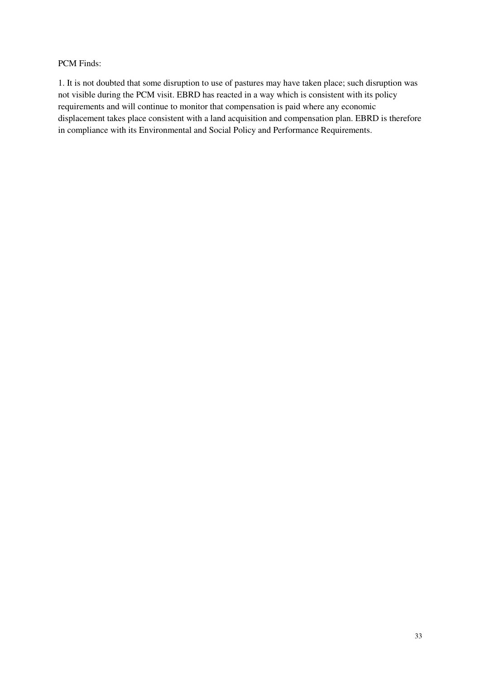### PCM Finds:

1. It is not doubted that some disruption to use of pastures may have taken place; such disruption was not visible during the PCM visit. EBRD has reacted in a way which is consistent with its policy requirements and will continue to monitor that compensation is paid where any economic displacement takes place consistent with a land acquisition and compensation plan. EBRD is therefore in compliance with its Environmental and Social Policy and Performance Requirements.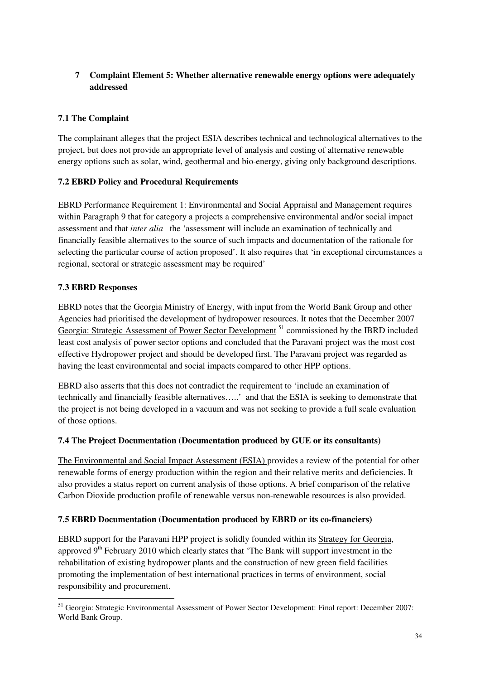## **7 Complaint Element 5: Whether alternative renewable energy options were adequately addressed**

## **7.1 The Complaint**

The complainant alleges that the project ESIA describes technical and technological alternatives to the project, but does not provide an appropriate level of analysis and costing of alternative renewable energy options such as solar, wind, geothermal and bio-energy, giving only background descriptions.

## **7.2 EBRD Policy and Procedural Requirements**

EBRD Performance Requirement 1: Environmental and Social Appraisal and Management requires within Paragraph 9 that for category a projects a comprehensive environmental and/or social impact assessment and that *inter alia* the 'assessment will include an examination of technically and financially feasible alternatives to the source of such impacts and documentation of the rationale for selecting the particular course of action proposed'. It also requires that 'in exceptional circumstances a regional, sectoral or strategic assessment may be required'

## **7.3 EBRD Responses**

l

EBRD notes that the Georgia Ministry of Energy, with input from the World Bank Group and other Agencies had prioritised the development of hydropower resources. It notes that the December 2007 Georgia: Strategic Assessment of Power Sector Development<sup>51</sup> commissioned by the IBRD included least cost analysis of power sector options and concluded that the Paravani project was the most cost effective Hydropower project and should be developed first. The Paravani project was regarded as having the least environmental and social impacts compared to other HPP options.

EBRD also asserts that this does not contradict the requirement to 'include an examination of technically and financially feasible alternatives…..' and that the ESIA is seeking to demonstrate that the project is not being developed in a vacuum and was not seeking to provide a full scale evaluation of those options.

### **7.4 The Project Documentation (Documentation produced by GUE or its consultants)**

The Environmental and Social Impact Assessment (ESIA) provides a review of the potential for other renewable forms of energy production within the region and their relative merits and deficiencies. It also provides a status report on current analysis of those options. A brief comparison of the relative Carbon Dioxide production profile of renewable versus non-renewable resources is also provided.

### **7.5 EBRD Documentation (Documentation produced by EBRD or its co-financiers)**

EBRD support for the Paravani HPP project is solidly founded within its Strategy for Georgia, approved 9<sup>th</sup> February 2010 which clearly states that 'The Bank will support investment in the rehabilitation of existing hydropower plants and the construction of new green field facilities promoting the implementation of best international practices in terms of environment, social responsibility and procurement.

<sup>51</sup> Georgia: Strategic Environmental Assessment of Power Sector Development: Final report: December 2007: World Bank Group.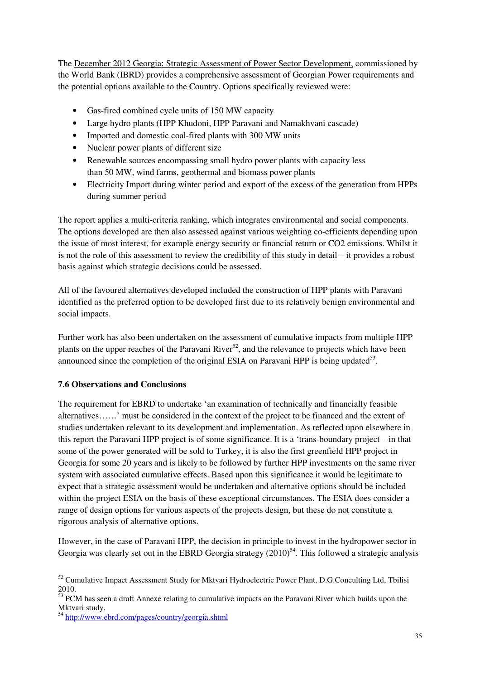The December 2012 Georgia: Strategic Assessment of Power Sector Development, commissioned by the World Bank (IBRD) provides a comprehensive assessment of Georgian Power requirements and the potential options available to the Country. Options specifically reviewed were:

- Gas-fired combined cycle units of 150 MW capacity
- Large hydro plants (HPP Khudoni, HPP Paravani and Namakhvani cascade)
- Imported and domestic coal-fired plants with 300 MW units
- Nuclear power plants of different size
- Renewable sources encompassing small hydro power plants with capacity less than 50 MW, wind farms, geothermal and biomass power plants
- Electricity Import during winter period and export of the excess of the generation from HPPs during summer period

The report applies a multi-criteria ranking, which integrates environmental and social components. The options developed are then also assessed against various weighting co-efficients depending upon the issue of most interest, for example energy security or financial return or CO2 emissions. Whilst it is not the role of this assessment to review the credibility of this study in detail – it provides a robust basis against which strategic decisions could be assessed.

All of the favoured alternatives developed included the construction of HPP plants with Paravani identified as the preferred option to be developed first due to its relatively benign environmental and social impacts.

Further work has also been undertaken on the assessment of cumulative impacts from multiple HPP plants on the upper reaches of the Paravani River<sup>52</sup>, and the relevance to projects which have been announced since the completion of the original ESIA on Paravani HPP is being updated<sup>53</sup>.

## **7.6 Observations and Conclusions**

The requirement for EBRD to undertake 'an examination of technically and financially feasible alternatives……' must be considered in the context of the project to be financed and the extent of studies undertaken relevant to its development and implementation. As reflected upon elsewhere in this report the Paravani HPP project is of some significance. It is a 'trans-boundary project – in that some of the power generated will be sold to Turkey, it is also the first greenfield HPP project in Georgia for some 20 years and is likely to be followed by further HPP investments on the same river system with associated cumulative effects. Based upon this significance it would be legitimate to expect that a strategic assessment would be undertaken and alternative options should be included within the project ESIA on the basis of these exceptional circumstances. The ESIA does consider a range of design options for various aspects of the projects design, but these do not constitute a rigorous analysis of alternative options.

However, in the case of Paravani HPP, the decision in principle to invest in the hydropower sector in Georgia was clearly set out in the EBRD Georgia strategy  $(2010)^{54}$ . This followed a strategic analysis

 $\overline{a}$ 

<sup>&</sup>lt;sup>52</sup> Cumulative Impact Assessment Study for Mktvari Hydroelectric Power Plant, D.G.Conculting Ltd, Tbilisi 2010.

<sup>&</sup>lt;sup>53</sup> PCM has seen a draft Annexe relating to cumulative impacts on the Paravani River which builds upon the Mktvari study.

<sup>&</sup>lt;sup>54</sup> http://www.ebrd.com/pages/country/georgia.shtml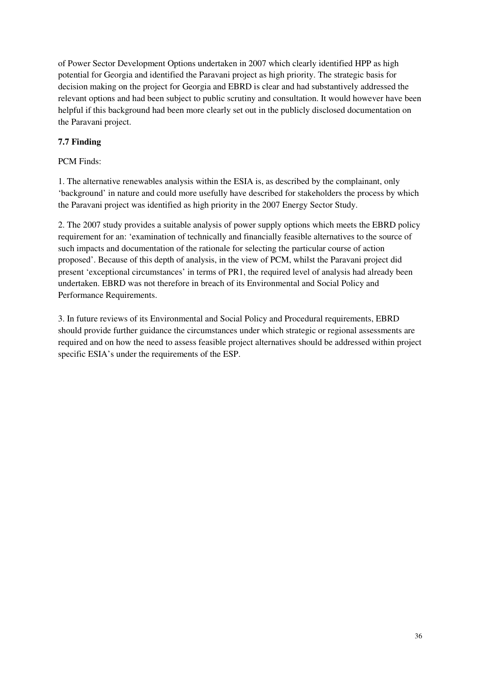of Power Sector Development Options undertaken in 2007 which clearly identified HPP as high potential for Georgia and identified the Paravani project as high priority. The strategic basis for decision making on the project for Georgia and EBRD is clear and had substantively addressed the relevant options and had been subject to public scrutiny and consultation. It would however have been helpful if this background had been more clearly set out in the publicly disclosed documentation on the Paravani project.

## **7.7 Finding**

### PCM Finds:

1. The alternative renewables analysis within the ESIA is, as described by the complainant, only 'background' in nature and could more usefully have described for stakeholders the process by which the Paravani project was identified as high priority in the 2007 Energy Sector Study.

2. The 2007 study provides a suitable analysis of power supply options which meets the EBRD policy requirement for an: 'examination of technically and financially feasible alternatives to the source of such impacts and documentation of the rationale for selecting the particular course of action proposed'. Because of this depth of analysis, in the view of PCM, whilst the Paravani project did present 'exceptional circumstances' in terms of PR1, the required level of analysis had already been undertaken. EBRD was not therefore in breach of its Environmental and Social Policy and Performance Requirements.

3. In future reviews of its Environmental and Social Policy and Procedural requirements, EBRD should provide further guidance the circumstances under which strategic or regional assessments are required and on how the need to assess feasible project alternatives should be addressed within project specific ESIA's under the requirements of the ESP.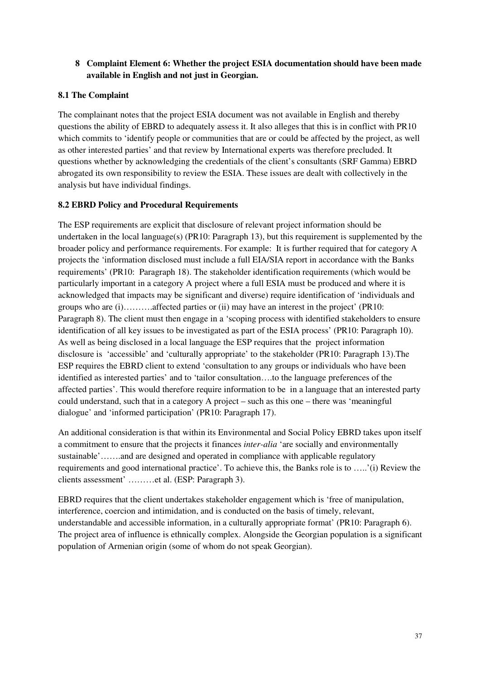## **8 Complaint Element 6: Whether the project ESIA documentation should have been made available in English and not just in Georgian.**

### **8.1 The Complaint**

The complainant notes that the project ESIA document was not available in English and thereby questions the ability of EBRD to adequately assess it. It also alleges that this is in conflict with PR10 which commits to 'identify people or communities that are or could be affected by the project, as well as other interested parties' and that review by International experts was therefore precluded. It questions whether by acknowledging the credentials of the client's consultants (SRF Gamma) EBRD abrogated its own responsibility to review the ESIA. These issues are dealt with collectively in the analysis but have individual findings.

## **8.2 EBRD Policy and Procedural Requirements**

The ESP requirements are explicit that disclosure of relevant project information should be undertaken in the local language(s) (PR10: Paragraph 13), but this requirement is supplemented by the broader policy and performance requirements. For example: It is further required that for category A projects the 'information disclosed must include a full EIA/SIA report in accordance with the Banks requirements' (PR10: Paragraph 18). The stakeholder identification requirements (which would be particularly important in a category A project where a full ESIA must be produced and where it is acknowledged that impacts may be significant and diverse) require identification of 'individuals and groups who are (i)……….affected parties or (ii) may have an interest in the project' (PR10: Paragraph 8). The client must then engage in a 'scoping process with identified stakeholders to ensure identification of all key issues to be investigated as part of the ESIA process' (PR10: Paragraph 10). As well as being disclosed in a local language the ESP requires that the project information disclosure is 'accessible' and 'culturally appropriate' to the stakeholder (PR10: Paragraph 13).The ESP requires the EBRD client to extend 'consultation to any groups or individuals who have been identified as interested parties' and to 'tailor consultation….to the language preferences of the affected parties'. This would therefore require information to be in a language that an interested party could understand, such that in a category A project – such as this one – there was 'meaningful dialogue' and 'informed participation' (PR10: Paragraph 17).

An additional consideration is that within its Environmental and Social Policy EBRD takes upon itself a commitment to ensure that the projects it finances *inter-alia* 'are socially and environmentally sustainable'…….and are designed and operated in compliance with applicable regulatory requirements and good international practice'. To achieve this, the Banks role is to …..'(i) Review the clients assessment' ………et al. (ESP: Paragraph 3).

EBRD requires that the client undertakes stakeholder engagement which is 'free of manipulation, interference, coercion and intimidation, and is conducted on the basis of timely, relevant, understandable and accessible information, in a culturally appropriate format' (PR10: Paragraph 6). The project area of influence is ethnically complex. Alongside the Georgian population is a significant population of Armenian origin (some of whom do not speak Georgian).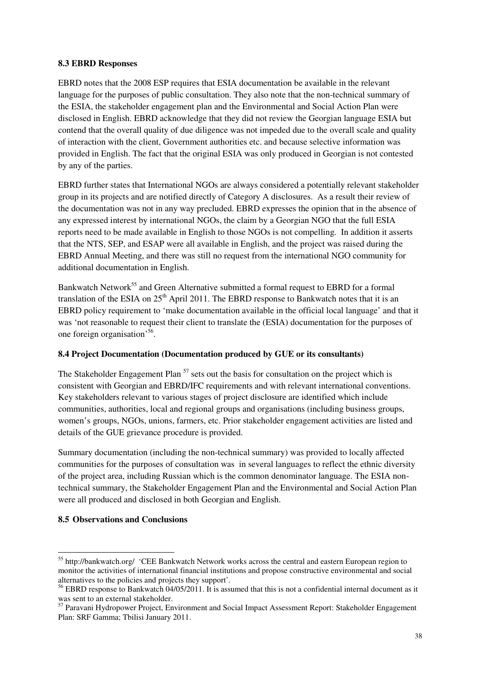#### **8.3 EBRD Responses**

EBRD notes that the 2008 ESP requires that ESIA documentation be available in the relevant language for the purposes of public consultation. They also note that the non-technical summary of the ESIA, the stakeholder engagement plan and the Environmental and Social Action Plan were disclosed in English. EBRD acknowledge that they did not review the Georgian language ESIA but contend that the overall quality of due diligence was not impeded due to the overall scale and quality of interaction with the client, Government authorities etc. and because selective information was provided in English. The fact that the original ESIA was only produced in Georgian is not contested by any of the parties.

EBRD further states that International NGOs are always considered a potentially relevant stakeholder group in its projects and are notified directly of Category A disclosures. As a result their review of the documentation was not in any way precluded. EBRD expresses the opinion that in the absence of any expressed interest by international NGOs, the claim by a Georgian NGO that the full ESIA reports need to be made available in English to those NGOs is not compelling. In addition it asserts that the NTS, SEP, and ESAP were all available in English, and the project was raised during the EBRD Annual Meeting, and there was still no request from the international NGO community for additional documentation in English.

Bankwatch Network<sup>55</sup> and Green Alternative submitted a formal request to EBRD for a formal translation of the ESIA on  $25<sup>th</sup>$  April 2011. The EBRD response to Bankwatch notes that it is an EBRD policy requirement to 'make documentation available in the official local language' and that it was 'not reasonable to request their client to translate the (ESIA) documentation for the purposes of one foreign organisation<sup>56</sup>.

### **8.4 Project Documentation (Documentation produced by GUE or its consultants)**

The Stakeholder Engagement Plan<sup>57</sup> sets out the basis for consultation on the project which is consistent with Georgian and EBRD/IFC requirements and with relevant international conventions. Key stakeholders relevant to various stages of project disclosure are identified which include communities, authorities, local and regional groups and organisations (including business groups, women's groups, NGOs, unions, farmers, etc. Prior stakeholder engagement activities are listed and details of the GUE grievance procedure is provided.

Summary documentation (including the non-technical summary) was provided to locally affected communities for the purposes of consultation was in several languages to reflect the ethnic diversity of the project area, including Russian which is the common denominator language. The ESIA nontechnical summary, the Stakeholder Engagement Plan and the Environmental and Social Action Plan were all produced and disclosed in both Georgian and English.

### **8.5 Observations and Conclusions**

l

<sup>55</sup> http://bankwatch.org/ 'CEE Bankwatch Network works across the central and eastern European region to monitor the activities of international financial institutions and propose constructive environmental and social alternatives to the policies and projects they support'.

<sup>&</sup>lt;sup>56</sup> EBRD response to Bankwatch 04/05/2011. It is assumed that this is not a confidential internal document as it was sent to an external stakeholder.

<sup>57</sup> Paravani Hydropower Project, Environment and Social Impact Assessment Report: Stakeholder Engagement Plan: SRF Gamma; Tbilisi January 2011.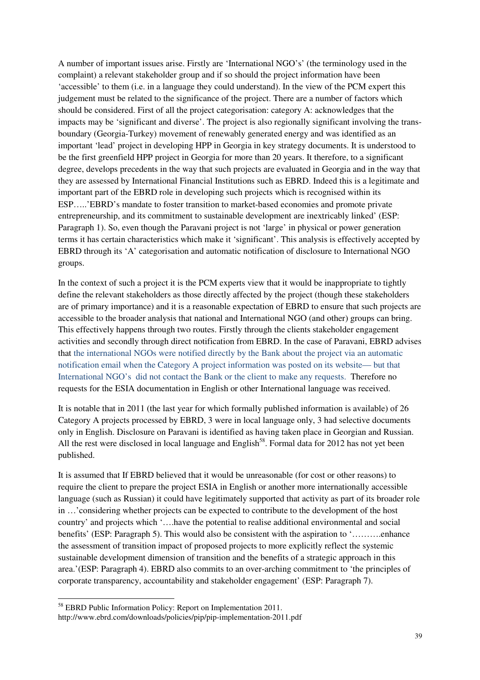A number of important issues arise. Firstly are 'International NGO's' (the terminology used in the complaint) a relevant stakeholder group and if so should the project information have been 'accessible' to them (i.e. in a language they could understand). In the view of the PCM expert this judgement must be related to the significance of the project. There are a number of factors which should be considered. First of all the project categorisation: category A: acknowledges that the impacts may be 'significant and diverse'. The project is also regionally significant involving the transboundary (Georgia-Turkey) movement of renewably generated energy and was identified as an important 'lead' project in developing HPP in Georgia in key strategy documents. It is understood to be the first greenfield HPP project in Georgia for more than 20 years. It therefore, to a significant degree, develops precedents in the way that such projects are evaluated in Georgia and in the way that they are assessed by International Financial Institutions such as EBRD. Indeed this is a legitimate and important part of the EBRD role in developing such projects which is recognised within its ESP…..'EBRD's mandate to foster transition to market-based economies and promote private entrepreneurship, and its commitment to sustainable development are inextricably linked' (ESP: Paragraph 1). So, even though the Paravani project is not 'large' in physical or power generation terms it has certain characteristics which make it 'significant'. This analysis is effectively accepted by EBRD through its 'A' categorisation and automatic notification of disclosure to International NGO groups.

In the context of such a project it is the PCM experts view that it would be inappropriate to tightly define the relevant stakeholders as those directly affected by the project (though these stakeholders are of primary importance) and it is a reasonable expectation of EBRD to ensure that such projects are accessible to the broader analysis that national and International NGO (and other) groups can bring. This effectively happens through two routes. Firstly through the clients stakeholder engagement activities and secondly through direct notification from EBRD. In the case of Paravani, EBRD advises that the international NGOs were notified directly by the Bank about the project via an automatic notification email when the Category A project information was posted on its website— but that International NGO's did not contact the Bank or the client to make any requests. Therefore no requests for the ESIA documentation in English or other International language was received.

It is notable that in 2011 (the last year for which formally published information is available) of 26 Category A projects processed by EBRD, 3 were in local language only, 3 had selective documents only in English. Disclosure on Paravani is identified as having taken place in Georgian and Russian. All the rest were disclosed in local language and English<sup>58</sup>. Formal data for 2012 has not yet been published.

It is assumed that If EBRD believed that it would be unreasonable (for cost or other reasons) to require the client to prepare the project ESIA in English or another more internationally accessible language (such as Russian) it could have legitimately supported that activity as part of its broader role in …'considering whether projects can be expected to contribute to the development of the host country' and projects which '….have the potential to realise additional environmental and social benefits' (ESP: Paragraph 5). This would also be consistent with the aspiration to '……….enhance the assessment of transition impact of proposed projects to more explicitly reflect the systemic sustainable development dimension of transition and the benefits of a strategic approach in this area.'(ESP: Paragraph 4). EBRD also commits to an over-arching commitment to 'the principles of corporate transparency, accountability and stakeholder engagement' (ESP: Paragraph 7).

l

<sup>58</sup> EBRD Public Information Policy: Report on Implementation 2011. http://www.ebrd.com/downloads/policies/pip/pip-implementation-2011.pdf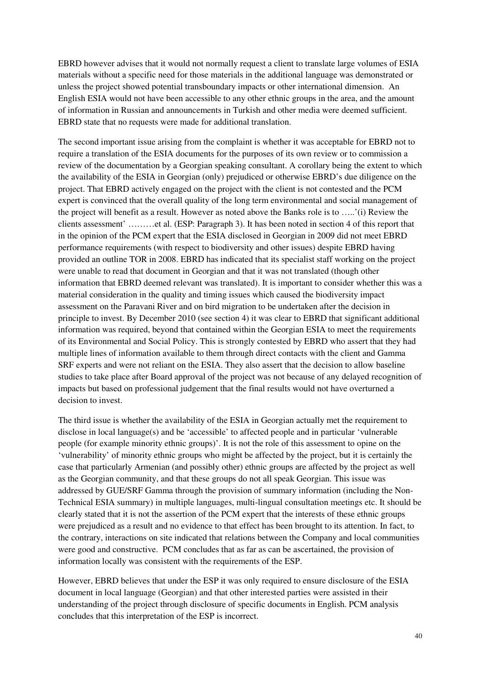EBRD however advises that it would not normally request a client to translate large volumes of ESIA materials without a specific need for those materials in the additional language was demonstrated or unless the project showed potential transboundary impacts or other international dimension. An English ESIA would not have been accessible to any other ethnic groups in the area, and the amount of information in Russian and announcements in Turkish and other media were deemed sufficient. EBRD state that no requests were made for additional translation.

The second important issue arising from the complaint is whether it was acceptable for EBRD not to require a translation of the ESIA documents for the purposes of its own review or to commission a review of the documentation by a Georgian speaking consultant. A corollary being the extent to which the availability of the ESIA in Georgian (only) prejudiced or otherwise EBRD's due diligence on the project. That EBRD actively engaged on the project with the client is not contested and the PCM expert is convinced that the overall quality of the long term environmental and social management of the project will benefit as a result. However as noted above the Banks role is to …..'(i) Review the clients assessment' ………et al. (ESP: Paragraph 3). It has been noted in section 4 of this report that in the opinion of the PCM expert that the ESIA disclosed in Georgian in 2009 did not meet EBRD performance requirements (with respect to biodiversity and other issues) despite EBRD having provided an outline TOR in 2008. EBRD has indicated that its specialist staff working on the project were unable to read that document in Georgian and that it was not translated (though other information that EBRD deemed relevant was translated). It is important to consider whether this was a material consideration in the quality and timing issues which caused the biodiversity impact assessment on the Paravani River and on bird migration to be undertaken after the decision in principle to invest. By December 2010 (see section 4) it was clear to EBRD that significant additional information was required, beyond that contained within the Georgian ESIA to meet the requirements of its Environmental and Social Policy. This is strongly contested by EBRD who assert that they had multiple lines of information available to them through direct contacts with the client and Gamma SRF experts and were not reliant on the ESIA. They also assert that the decision to allow baseline studies to take place after Board approval of the project was not because of any delayed recognition of impacts but based on professional judgement that the final results would not have overturned a decision to invest.

The third issue is whether the availability of the ESIA in Georgian actually met the requirement to disclose in local language(s) and be 'accessible' to affected people and in particular 'vulnerable people (for example minority ethnic groups)'. It is not the role of this assessment to opine on the 'vulnerability' of minority ethnic groups who might be affected by the project, but it is certainly the case that particularly Armenian (and possibly other) ethnic groups are affected by the project as well as the Georgian community, and that these groups do not all speak Georgian. This issue was addressed by GUE/SRF Gamma through the provision of summary information (including the Non-Technical ESIA summary) in multiple languages, multi-lingual consultation meetings etc. It should be clearly stated that it is not the assertion of the PCM expert that the interests of these ethnic groups were prejudiced as a result and no evidence to that effect has been brought to its attention. In fact, to the contrary, interactions on site indicated that relations between the Company and local communities were good and constructive. PCM concludes that as far as can be ascertained, the provision of information locally was consistent with the requirements of the ESP.

However, EBRD believes that under the ESP it was only required to ensure disclosure of the ESIA document in local language (Georgian) and that other interested parties were assisted in their understanding of the project through disclosure of specific documents in English. PCM analysis concludes that this interpretation of the ESP is incorrect.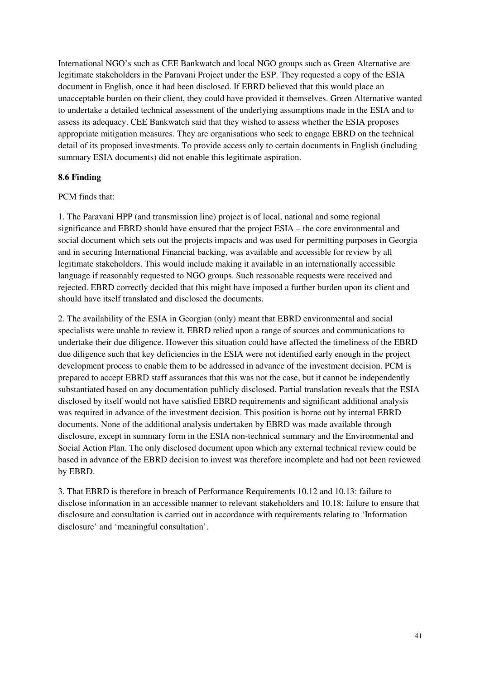International NGO's such as CEE Bankwatch and local NGO groups such as Green Alternative are legitimate stakeholders in the Paravani Project under the ESP. They requested a copy of the ESIA document in English, once it had been disclosed. If EBRD believed that this would place an unacceptable burden on their client, they could have provided it themselves. Green Alternative wanted to undertake a detailed technical assessment of the underlying assumptions made in the ESIA and to assess its adequacy. CEE Bankwatch said that they wished to assess whether the ESIA proposes appropriate mitigation measures. They are organisations who seek to engage EBRD on the technical detail of its proposed investments. To provide access only to certain documents in English (including summary ESIA documents) did not enable this legitimate aspiration.

### **8.6 Finding**

### PCM finds that:

1. The Paravani HPP (and transmission line) project is of local, national and some regional significance and EBRD should have ensured that the project ESIA – the core environmental and social document which sets out the projects impacts and was used for permitting purposes in Georgia and in securing International Financial backing, was available and accessible for review by all legitimate stakeholders. This would include making it available in an internationally accessible language if reasonably requested to NGO groups. Such reasonable requests were received and rejected. EBRD correctly decided that this might have imposed a further burden upon its client and should have itself translated and disclosed the documents.

2. The availability of the ESIA in Georgian (only) meant that EBRD environmental and social specialists were unable to review it. EBRD relied upon a range of sources and communications to undertake their due diligence. However this situation could have affected the timeliness of the EBRD due diligence such that key deficiencies in the ESIA were not identified early enough in the project development process to enable them to be addressed in advance of the investment decision. PCM is prepared to accept EBRD staff assurances that this was not the case, but it cannot be independently substantiated based on any documentation publicly disclosed. Partial translation reveals that the ESIA disclosed by itself would not have satisfied EBRD requirements and significant additional analysis was required in advance of the investment decision. This position is borne out by internal EBRD documents. None of the additional analysis undertaken by EBRD was made available through disclosure, except in summary form in the ESIA non-technical summary and the Environmental and Social Action Plan. The only disclosed document upon which any external technical review could be based in advance of the EBRD decision to invest was therefore incomplete and had not been reviewed by EBRD.

3. That EBRD is therefore in breach of Performance Requirements 10.12 and 10.13: failure to disclose information in an accessible manner to relevant stakeholders and 10.18: failure to ensure that disclosure and consultation is carried out in accordance with requirements relating to 'Information disclosure' and 'meaningful consultation'.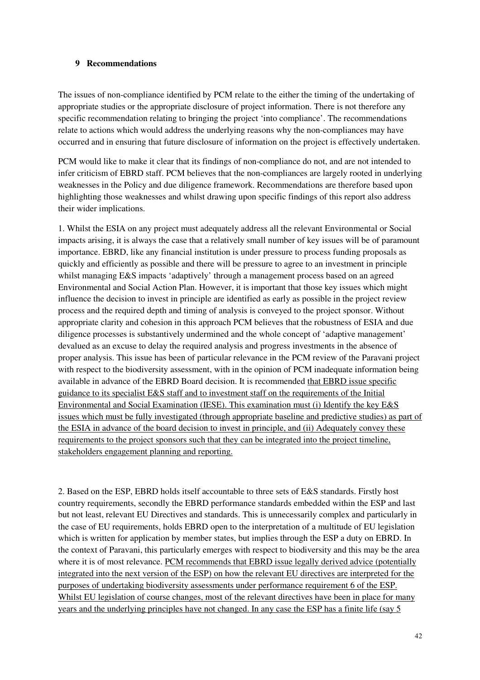#### **9 Recommendations**

The issues of non-compliance identified by PCM relate to the either the timing of the undertaking of appropriate studies or the appropriate disclosure of project information. There is not therefore any specific recommendation relating to bringing the project 'into compliance'. The recommendations relate to actions which would address the underlying reasons why the non-compliances may have occurred and in ensuring that future disclosure of information on the project is effectively undertaken.

PCM would like to make it clear that its findings of non-compliance do not, and are not intended to infer criticism of EBRD staff. PCM believes that the non-compliances are largely rooted in underlying weaknesses in the Policy and due diligence framework. Recommendations are therefore based upon highlighting those weaknesses and whilst drawing upon specific findings of this report also address their wider implications.

1. Whilst the ESIA on any project must adequately address all the relevant Environmental or Social impacts arising, it is always the case that a relatively small number of key issues will be of paramount importance. EBRD, like any financial institution is under pressure to process funding proposals as quickly and efficiently as possible and there will be pressure to agree to an investment in principle whilst managing E&S impacts 'adaptively' through a management process based on an agreed Environmental and Social Action Plan. However, it is important that those key issues which might influence the decision to invest in principle are identified as early as possible in the project review process and the required depth and timing of analysis is conveyed to the project sponsor. Without appropriate clarity and cohesion in this approach PCM believes that the robustness of ESIA and due diligence processes is substantively undermined and the whole concept of 'adaptive management' devalued as an excuse to delay the required analysis and progress investments in the absence of proper analysis. This issue has been of particular relevance in the PCM review of the Paravani project with respect to the biodiversity assessment, with in the opinion of PCM inadequate information being available in advance of the EBRD Board decision. It is recommended that EBRD issue specific guidance to its specialist E&S staff and to investment staff on the requirements of the Initial Environmental and Social Examination (IESE). This examination must (i) Identify the key E&S issues which must be fully investigated (through appropriate baseline and predictive studies) as part of the ESIA in advance of the board decision to invest in principle, and (ii) Adequately convey these requirements to the project sponsors such that they can be integrated into the project timeline, stakeholders engagement planning and reporting.

2. Based on the ESP, EBRD holds itself accountable to three sets of E&S standards. Firstly host country requirements, secondly the EBRD performance standards embedded within the ESP and last but not least, relevant EU Directives and standards. This is unnecessarily complex and particularly in the case of EU requirements, holds EBRD open to the interpretation of a multitude of EU legislation which is written for application by member states, but implies through the ESP a duty on EBRD. In the context of Paravani, this particularly emerges with respect to biodiversity and this may be the area where it is of most relevance. PCM recommends that EBRD issue legally derived advice (potentially integrated into the next version of the ESP) on how the relevant EU directives are interpreted for the purposes of undertaking biodiversity assessments under performance requirement 6 of the ESP. Whilst EU legislation of course changes, most of the relevant directives have been in place for many years and the underlying principles have not changed. In any case the ESP has a finite life (say 5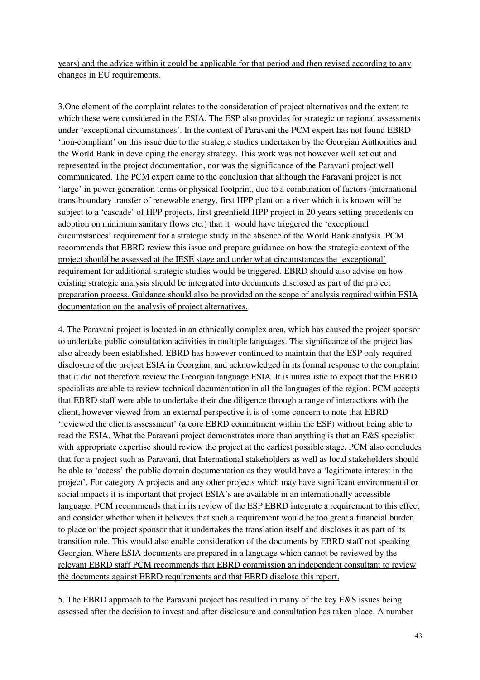years) and the advice within it could be applicable for that period and then revised according to any changes in EU requirements.

3.One element of the complaint relates to the consideration of project alternatives and the extent to which these were considered in the ESIA. The ESP also provides for strategic or regional assessments under 'exceptional circumstances'. In the context of Paravani the PCM expert has not found EBRD 'non-compliant' on this issue due to the strategic studies undertaken by the Georgian Authorities and the World Bank in developing the energy strategy. This work was not however well set out and represented in the project documentation, nor was the significance of the Paravani project well communicated. The PCM expert came to the conclusion that although the Paravani project is not 'large' in power generation terms or physical footprint, due to a combination of factors (international trans-boundary transfer of renewable energy, first HPP plant on a river which it is known will be subject to a 'cascade' of HPP projects, first greenfield HPP project in 20 years setting precedents on adoption on minimum sanitary flows etc.) that it would have triggered the 'exceptional circumstances' requirement for a strategic study in the absence of the World Bank analysis. PCM recommends that EBRD review this issue and prepare guidance on how the strategic context of the project should be assessed at the IESE stage and under what circumstances the 'exceptional' requirement for additional strategic studies would be triggered. EBRD should also advise on how existing strategic analysis should be integrated into documents disclosed as part of the project preparation process. Guidance should also be provided on the scope of analysis required within ESIA documentation on the analysis of project alternatives.

4. The Paravani project is located in an ethnically complex area, which has caused the project sponsor to undertake public consultation activities in multiple languages. The significance of the project has also already been established. EBRD has however continued to maintain that the ESP only required disclosure of the project ESIA in Georgian, and acknowledged in its formal response to the complaint that it did not therefore review the Georgian language ESIA. It is unrealistic to expect that the EBRD specialists are able to review technical documentation in all the languages of the region. PCM accepts that EBRD staff were able to undertake their due diligence through a range of interactions with the client, however viewed from an external perspective it is of some concern to note that EBRD 'reviewed the clients assessment' (a core EBRD commitment within the ESP) without being able to read the ESIA. What the Paravani project demonstrates more than anything is that an E&S specialist with appropriate expertise should review the project at the earliest possible stage. PCM also concludes that for a project such as Paravani, that International stakeholders as well as local stakeholders should be able to 'access' the public domain documentation as they would have a 'legitimate interest in the project'. For category A projects and any other projects which may have significant environmental or social impacts it is important that project ESIA's are available in an internationally accessible language. PCM recommends that in its review of the ESP EBRD integrate a requirement to this effect and consider whether when it believes that such a requirement would be too great a financial burden to place on the project sponsor that it undertakes the translation itself and discloses it as part of its transition role. This would also enable consideration of the documents by EBRD staff not speaking Georgian. Where ESIA documents are prepared in a language which cannot be reviewed by the relevant EBRD staff PCM recommends that EBRD commission an independent consultant to review the documents against EBRD requirements and that EBRD disclose this report.

5. The EBRD approach to the Paravani project has resulted in many of the key E&S issues being assessed after the decision to invest and after disclosure and consultation has taken place. A number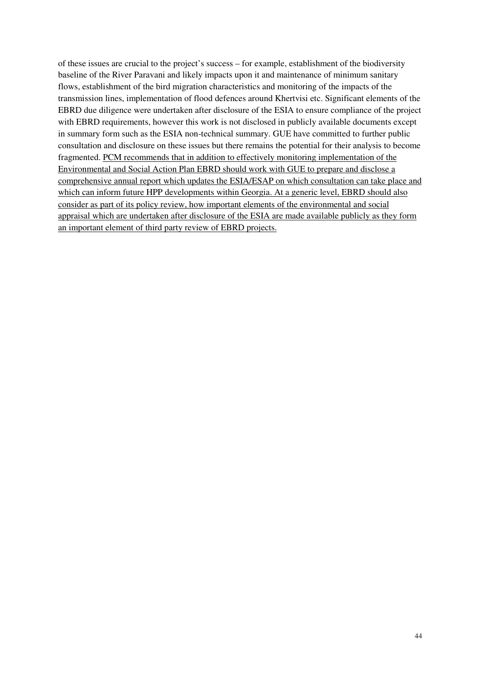of these issues are crucial to the project's success – for example, establishment of the biodiversity baseline of the River Paravani and likely impacts upon it and maintenance of minimum sanitary flows, establishment of the bird migration characteristics and monitoring of the impacts of the transmission lines, implementation of flood defences around Khertvisi etc. Significant elements of the EBRD due diligence were undertaken after disclosure of the ESIA to ensure compliance of the project with EBRD requirements, however this work is not disclosed in publicly available documents except in summary form such as the ESIA non-technical summary. GUE have committed to further public consultation and disclosure on these issues but there remains the potential for their analysis to become fragmented. PCM recommends that in addition to effectively monitoring implementation of the Environmental and Social Action Plan EBRD should work with GUE to prepare and disclose a comprehensive annual report which updates the ESIA/ESAP on which consultation can take place and which can inform future HPP developments within Georgia. At a generic level, EBRD should also consider as part of its policy review, how important elements of the environmental and social appraisal which are undertaken after disclosure of the ESIA are made available publicly as they form an important element of third party review of EBRD projects.